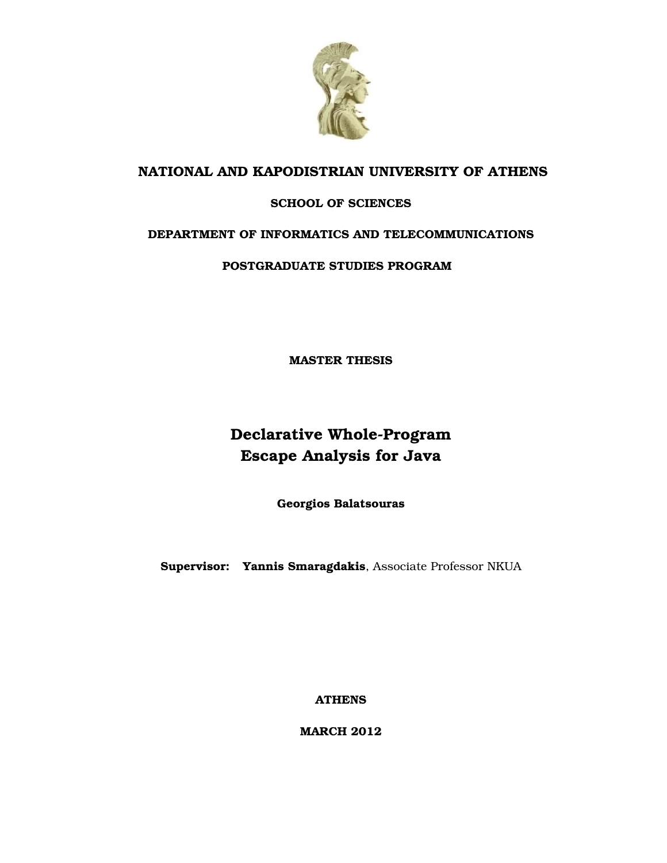

#### **NATIONAL AND KAPODISTRIAN UNIVERSITY OF ATHENS**

#### **SCHOOL OF SCIENCES**

#### **DEPARTMENT OF INFORMATICS AND TELECOMMUNICATIONS**

**POSTGRADUATE STUDIES PROGRAM**

**MASTER THESIS**

### **Declarative Whole-Program Escape Analysis for Java**

**Georgios Balatsouras**

**Supervisor: Yannis Smaragdakis**, Associate Professor NKUA

**ATHENS**

**MARCH 2012**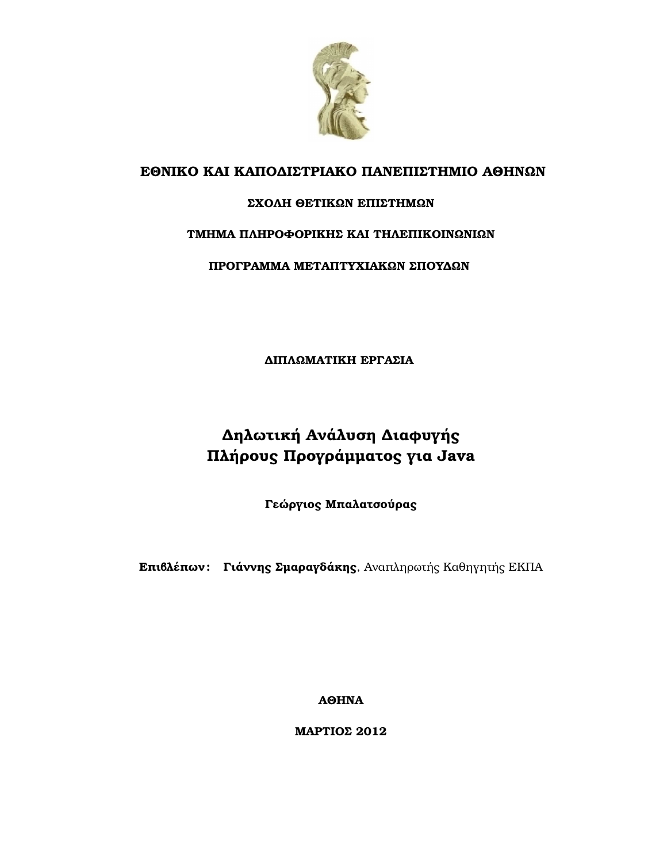

#### **ΕΘΝΙΚΟ ΚΑΙ ΚΑΠΟ∆ΙΣΤΡΙΑΚΟ ΠΑΝΕΠΙΣΤΗΜΙΟ ΑΘΗΝΩΝ**

#### **ΣΧΟΛΗ ΘΕΤΙΚΩΝ ΕΠΙΣΤΗΜΩΝ**

#### **ΤΜΗΜΑ ΠΛΗΡΟΦΟΡΙΚΗΣ ΚΑΙ ΤΗΛΕΠΙΚΟΙΝΩΝΙΩΝ**

**ΠΡΟΓΡΑΜΜΑ ΜΕΤΑΠΤΥΧΙΑΚΩΝ ΣΠΟΥ∆ΩΝ**

**∆ΙΠΛΩΜΑΤΙΚΗ ΕΡΓΑΣΙΑ**

### **∆ηλωτική Ανάλυση ∆ιαφυγής Πλήρους Προγράµµατος για Java**

**Γεώργιος Μπαλατσούρας**

**Επιβλέπων : Γιάννης Σµαραγδάκης**, Αναπληρωτής Καθηγητής ΕΚΠΑ

**ΑΘΗΝΑ**

**ΜΑΡΤΙΟΣ 2012**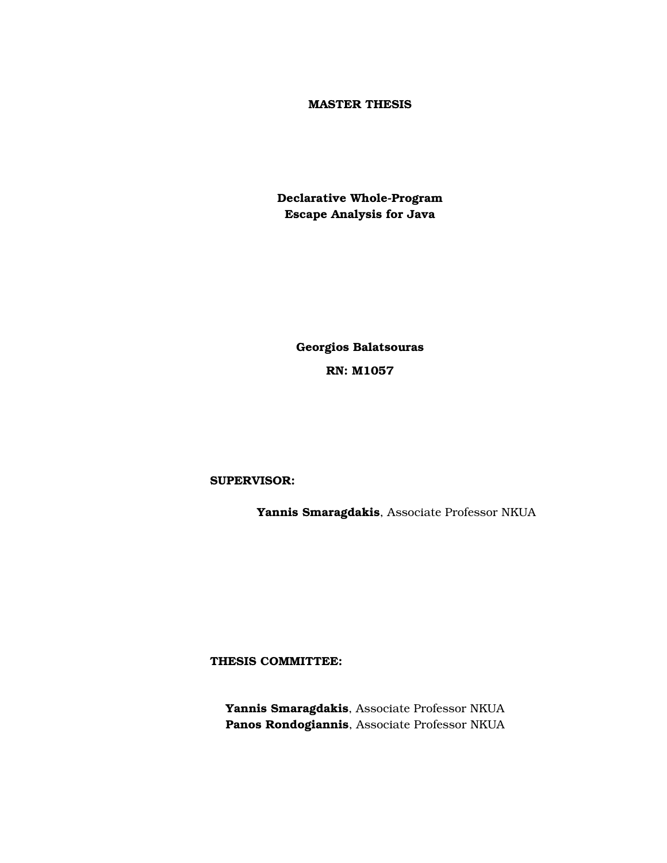#### **MASTER THESIS**

**Declarative Whole-Program Escape Analysis for Java**

> **Georgios Balatsouras RN: Μ1057**

#### **SUPERVISOR:**

**Yannis Smaragdakis**, Associate Professor NKUA

**THESIS COMMITTEE:**

**Yannis Smaragdakis**, Associate Professor NKUA **Panos Rondogiannis**, Associate Professor NKUA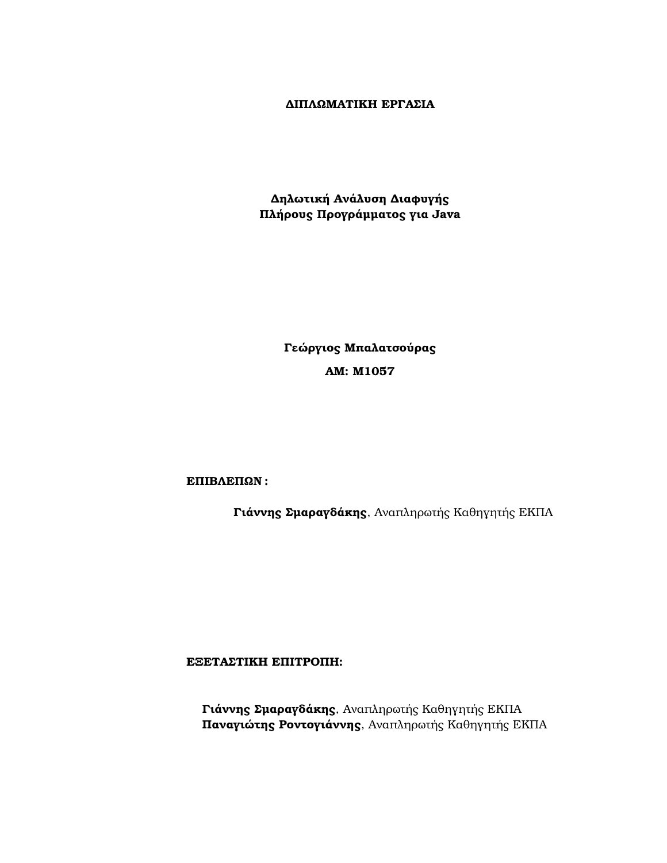#### **∆ΙΠΛΩΜΑΤΙΚΗ ΕΡΓΑΣΙΑ**

**∆ηλωτική Ανάλυση ∆ιαφυγής Πλήρους Προγράµµατος για Java**

> **Γεώργιος Μπαλατσούρας ΑΜ: Μ1057**

**ΕΠΙΒΛΕΠΩΝ :**

**Γιάννης Σµαραγδάκης**, Αναπληρωτής Καθηγητής ΕΚΠΑ

**ΕΞΕΤΑΣΤΙΚΗ ΕΠΙΤΡΟΠΗ:**

**Γιάννης Σµαραγδάκης**, Αναπληρωτής Καθηγητής ΕΚΠΑ **Παναγιώτης Ροντογιάννης**, Αναπληρωτής Καθηγητής ΕΚΠΑ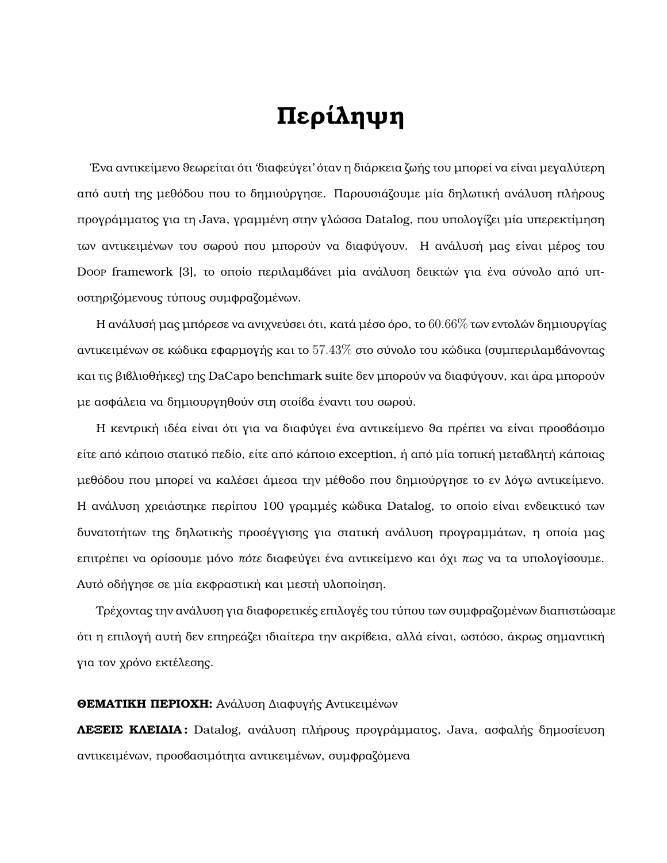## **Περίληψη**

Ένα αντικείμενο θεωρείται ότι 'διαφεύγει' όταν η διάρκεια ζωής του μπορεί να είναι μεγαλύτερη από αυτή της µεθόδου που το δηµιούργησε. Παρουσιάζουµε µία δηλωτική ανάλυση πλήρους προγράµµατος για τη Java, γραµµένη στην γλώσσα Datalog, που υπολογίζει µία υπερεκτίµηση των αντικειµένων του σωρού που µπορούν να διαφύγουν. Η ανάλυσή µας είναι µέρος του Doop framework [\[3\]](#page-38-0), το οποίο περιλαµβάνει µία ανάλυση δεικτών για ένα σύνολο από υποστηριζόµενους τύπους συµφραζοµένων.

Η ανάλυσή μας μπόρεσε να ανιχνεύσει ότι, κατά μέσο όρο, το  $60.66\%$  των εντολών δημιουργίας αντικειμένων σε κώδικα εφαρμογής και το  $57.43\%$  στο σύνολο του κώδικα (συμπεριλαμβάνοντας και τις ϐιβλιοθήκες) της DaCapo benchmark suite δεν µπορούν να διαφύγουν, και άρα µπορούν µε ασφάλεια να δηµιουργηθούν στη στοίβα έναντι του σωρού.

Η κεντρική ιδέα είναι ότι για να διαφύγει ένα αντικείµενο ϑα πρέπει να είναι προσβάσιµο είτε από κάποιο στατικό πεδίο, είτε από κάποιο exception, ή από µία τοπική µεταβλητή κάποιας µεθόδου που µπορεί να καλέσει άµεσα την µέθοδο που δηµιούργησε το εν λόγω αντικείµενο. Η ανάλυση χρειάστηκε περίπου 100 γραµµές κώδικα Datalog, το οποίο είναι ενδεικτικό των δυνατοτήτων της δηλωτικής προσέγγισης για στατική ανάλυση προγραµµάτων, η οποία µας επιτρέπει να ορίσουµε µόνο *πότε* διαφεύγει ένα αντικείµενο και όχι *πως* να τα υπολογίσουµε. Αυτό οδήγησε σε µία εκφραστική και µεστή υλοποίηση.

Τρέχοντας την ανάλυση για διαφορετικές επιλογές του τύπου των συµφραζοµένων διαπιστώσαµε ότι η επιλογή αυτή δεν επηρεάζει ιδιαίτερα την ακρίβεια, αλλά είναι, ωστόσο, άκρως σηµαντική για τον χρόνο εκτέλεσης.

#### **ΘΕΜΑΤΙΚΗ ΠΕΡΙΟΧΗ:** Ανάλυση ∆ιαφυγής Αντικειµένων

**ΛΕΞΕΙΣ ΚΛΕΙ∆ΙΑ :** Datalog, ανάλυση πλήρους προγράµµατος, Java, ασφαλής δηµοσίευση αντικειµένων, προσβασιµότητα αντικειµένων, συµφραζόµενα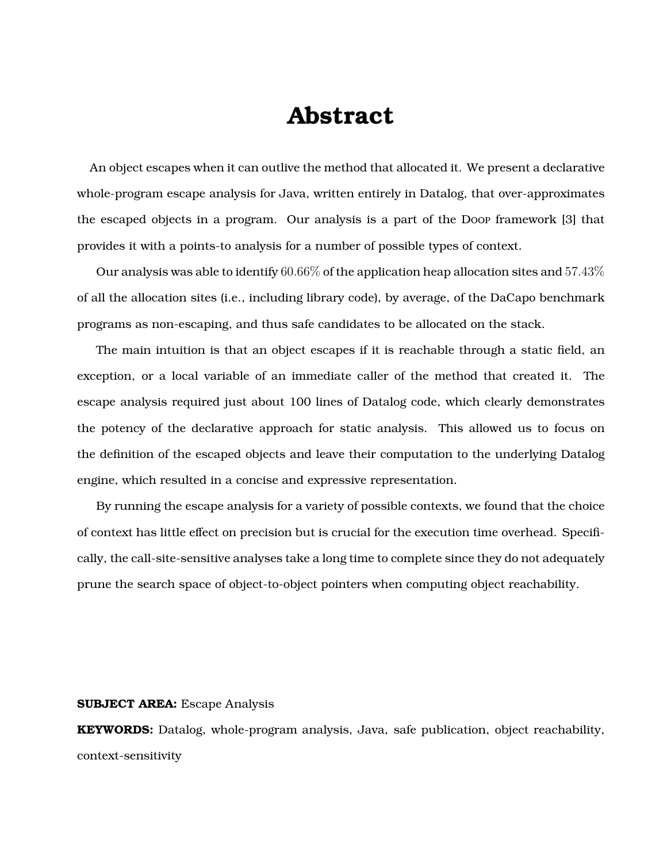### **Abstract**

An object escapes when it can outlive the method that allocated it. We present a declarative whole-program escape analysis for Java, written entirely in Datalog, that over-approximates the escaped objects in a program. Our analysis is a part of the Doop framework [\[3\]](#page-38-0) that provides it with a points-to analysis for a number of possible types of context.

Our analysis was able to identify  $60.66\%$  of the application heap allocation sites and  $57.43\%$ of all the allocation sites (i.e., including library code), by average, of the DaCapo benchmark programs as non-escaping, and thus safe candidates to be allocated on the stack.

The main intuition is that an object escapes if it is reachable through a static field, an exception, or a local variable of an immediate caller of the method that created it. The escape analysis required just about 100 lines of Datalog code, which clearly demonstrates the potency of the declarative approach for static analysis. This allowed us to focus on the definition of the escaped objects and leave their computation to the underlying Datalog engine, which resulted in a concise and expressive representation.

By running the escape analysis for a variety of possible contexts, we found that the choice of context has little effect on precision but is crucial for the execution time overhead. Specifically, the call-site-sensitive analyses take a long time to complete since they do not adequately prune the search space of object-to-object pointers when computing object reachability.

#### **SUBJECT AREA:** Escape Analysis

**KEYWORDS:** Datalog, whole-program analysis, Java, safe publication, object reachability, context-sensitivity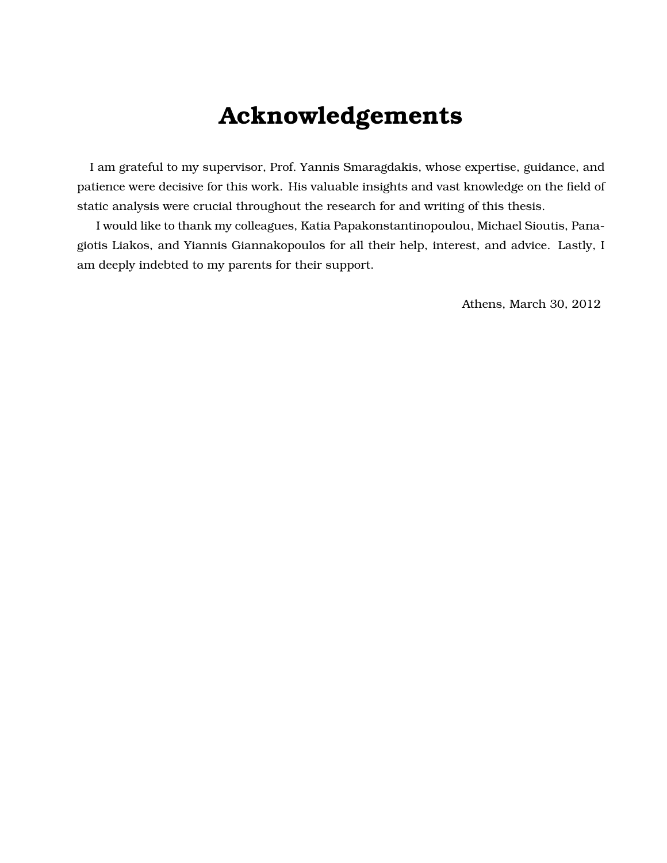## **Acknowledgements**

I am grateful to my supervisor, Prof. Yannis Smaragdakis, whose expertise, guidance, and patience were decisive for this work. His valuable insights and vast knowledge on the field of static analysis were crucial throughout the research for and writing of this thesis.

I would like to thank my colleagues, Katia Papakonstantinopoulou, Michael Sioutis, Panagiotis Liakos, and Yiannis Giannakopoulos for all their help, interest, and advice. Lastly, I am deeply indebted to my parents for their support.

Athens, March 30, 2012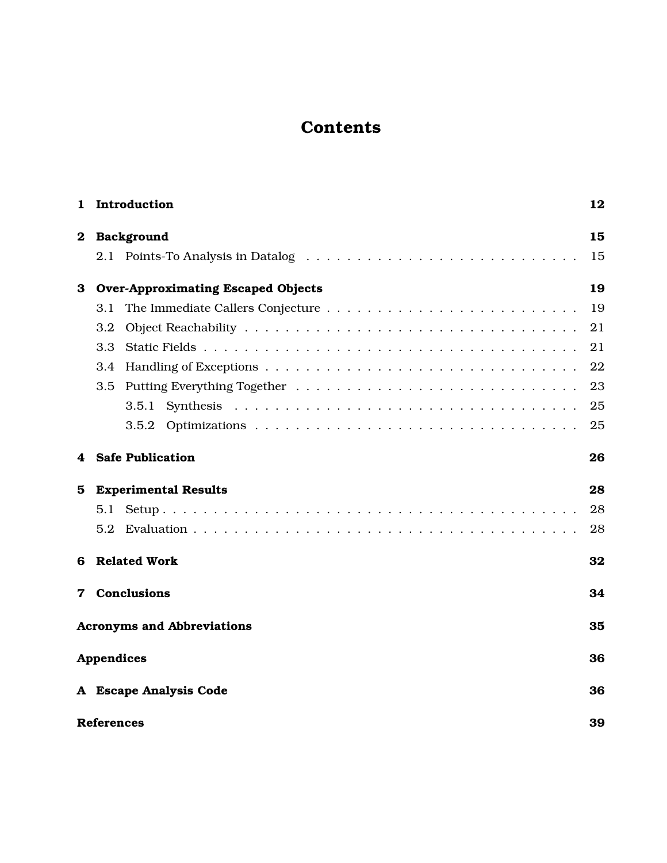### **Contents**

| 1        | Introduction                              | 12 |  |  |
|----------|-------------------------------------------|----|--|--|
| $\bf{2}$ | Background                                | 15 |  |  |
|          |                                           | 15 |  |  |
| 3        | <b>Over-Approximating Escaped Objects</b> | 19 |  |  |
|          | 3.1                                       | 19 |  |  |
|          | 3.2                                       | 21 |  |  |
|          | 3.3                                       | 21 |  |  |
|          | 3.4                                       | 22 |  |  |
|          | 3.5                                       | 23 |  |  |
|          |                                           | 25 |  |  |
|          |                                           | 25 |  |  |
| 4        | <b>Safe Publication</b>                   | 26 |  |  |
| 5        | <b>Experimental Results</b>               | 28 |  |  |
|          |                                           | 28 |  |  |
|          | 5.2                                       | 28 |  |  |
| 6        | <b>Related Work</b>                       | 32 |  |  |
| 7        | <b>Conclusions</b><br>34                  |    |  |  |
|          | <b>Acronyms and Abbreviations</b>         | 35 |  |  |
|          | <b>Appendices</b>                         | 36 |  |  |
|          | A Escape Analysis Code                    | 36 |  |  |
|          | <b>References</b>                         | 39 |  |  |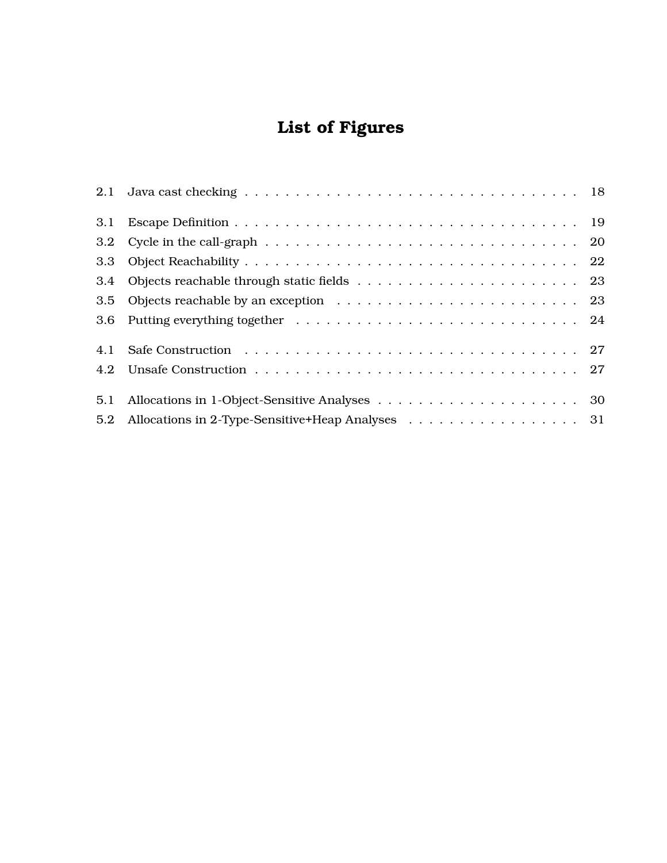### **List of Figures**

| 3.1 |                                                                                                               |  |
|-----|---------------------------------------------------------------------------------------------------------------|--|
|     | 3.2 Cycle in the call-graph $\ldots \ldots \ldots \ldots \ldots \ldots \ldots \ldots \ldots \ldots \ldots 20$ |  |
|     |                                                                                                               |  |
|     |                                                                                                               |  |
|     |                                                                                                               |  |
|     |                                                                                                               |  |
| 4.1 |                                                                                                               |  |
|     |                                                                                                               |  |
| 5.1 |                                                                                                               |  |
| 5.2 |                                                                                                               |  |
|     |                                                                                                               |  |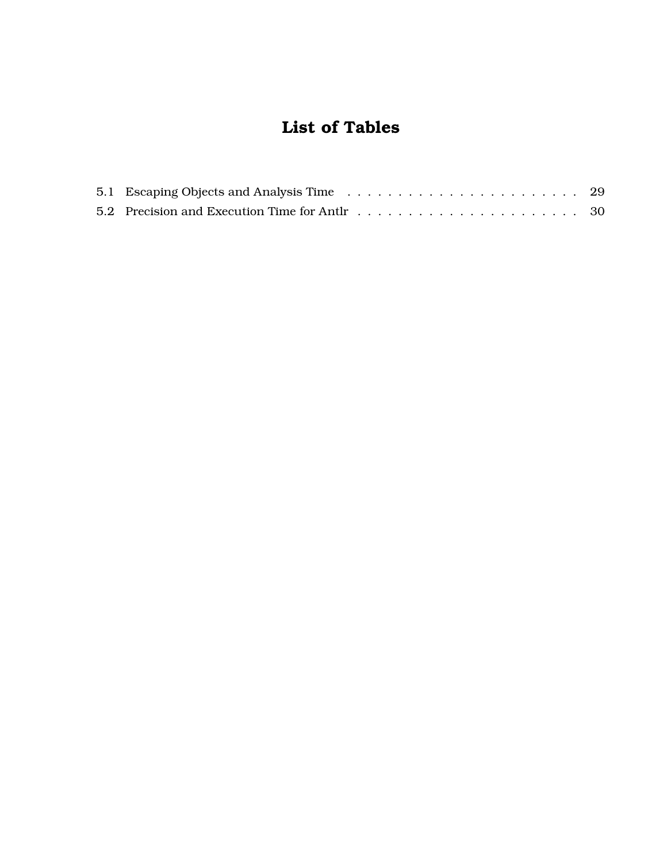### **List of Tables**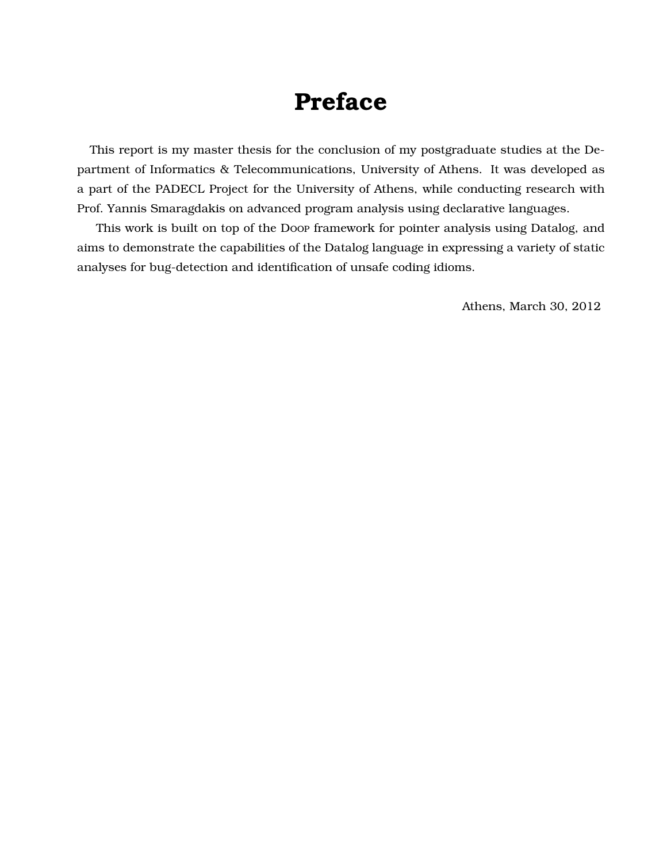## **Preface**

This report is my master thesis for the conclusion of my postgraduate studies at the Department of Informatics & Telecommunications, University of Athens. It was developed as a part of the PADECL Project for the University of Athens, while conducting research with Prof. Yannis Smaragdakis on advanced program analysis using declarative languages.

This work is built on top of the Doop framework for pointer analysis using Datalog, and aims to demonstrate the capabilities of the Datalog language in expressing a variety of static analyses for bug-detection and identification of unsafe coding idioms.

Athens, March 30, 2012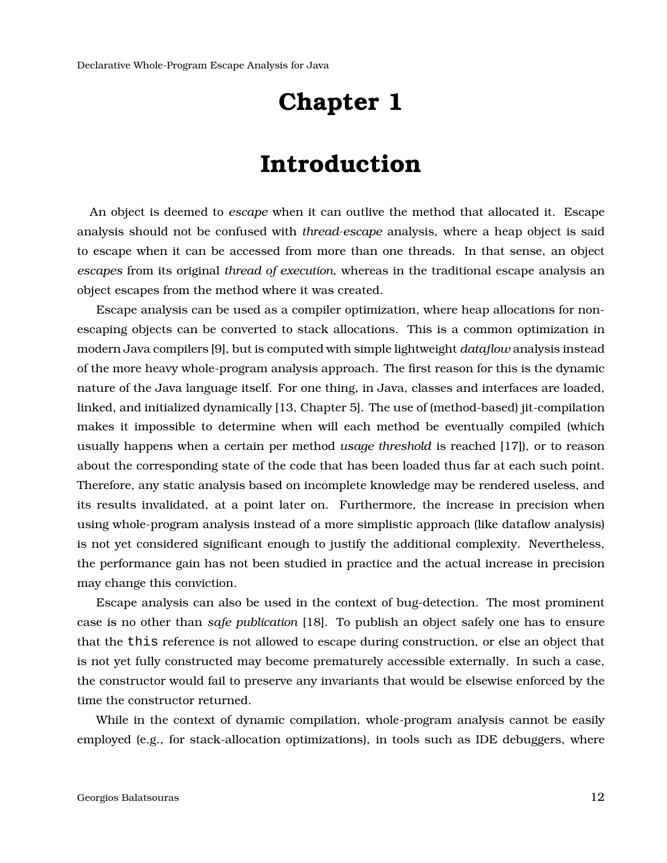### **Introduction**

<span id="page-11-0"></span>An object is deemed to *escape* when it can outlive the method that allocated it. Escape analysis should not be confused with *thread-escape* analysis, where a heap object is said to escape when it can be accessed from more than one threads. In that sense, an object *escapes* from its original *thread of execution*, whereas in the traditional escape analysis an object escapes from the method where it was created.

Escape analysis can be used as a compiler optimization, where heap allocations for nonescaping objects can be converted to stack allocations. This is a common optimization in modern Java compilers [\[9\]](#page-39-0), but is computed with simple lightweight *dataflow* analysis instead of the more heavy whole-program analysis approach. The first reason for this is the dynamic nature of the Java language itself. For one thing, in Java, classes and interfaces are loaded, linked, and initialized dynamically [\[13,](#page-39-1) Chapter 5]. The use of (method-based) jit-compilation makes it impossible to determine when will each method be eventually compiled (which usually happens when a certain per method *usage threshold* is reached [\[17\]](#page-39-2)), or to reason about the corresponding state of the code that has been loaded thus far at each such point. Therefore, any static analysis based on incomplete knowledge may be rendered useless, and its results invalidated, at a point later on. Furthermore, the increase in precision when using whole-program analysis instead of a more simplistic approach (like dataflow analysis) is not yet considered significant enough to justify the additional complexity. Nevertheless, the performance gain has not been studied in practice and the actual increase in precision may change this conviction.

Escape analysis can also be used in the context of bug-detection. The most prominent case is no other than *safe publication* [\[18\]](#page-39-3). To publish an object safely one has to ensure that the this reference is not allowed to escape during construction, or else an object that is not yet fully constructed may become prematurely accessible externally. In such a case, the constructor would fail to preserve any invariants that would be elsewise enforced by the time the constructor returned.

While in the context of dynamic compilation, whole-program analysis cannot be easily employed (e.g., for stack-allocation optimizations), in tools such as IDE debuggers, where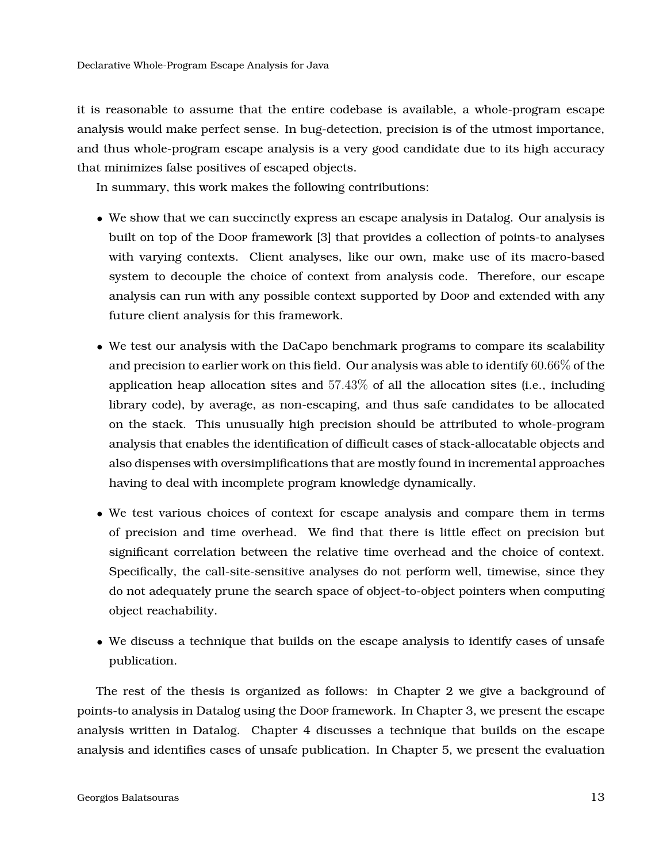it is reasonable to assume that the entire codebase is available, a whole-program escape analysis would make perfect sense. In bug-detection, precision is of the utmost importance, and thus whole-program escape analysis is a very good candidate due to its high accuracy that minimizes false positives of escaped objects.

In summary, this work makes the following contributions:

- We show that we can succinctly express an escape analysis in Datalog. Our analysis is built on top of the Doop framework [\[3\]](#page-38-0) that provides a collection of points-to analyses with varying contexts. Client analyses, like our own, make use of its macro-based system to decouple the choice of context from analysis code. Therefore, our escape analysis can run with any possible context supported by Doop and extended with any future client analysis for this framework.
- We test our analysis with the DaCapo benchmark programs to compare its scalability and precision to earlier work on this field. Our analysis was able to identify  $60.66\%$  of the application heap allocation sites and  $57.43\%$  of all the allocation sites (i.e., including library code), by average, as non-escaping, and thus safe candidates to be allocated on the stack. This unusually high precision should be attributed to whole-program analysis that enables the identification of difficult cases of stack-allocatable objects and also dispenses with oversimplifications that are mostly found in incremental approaches having to deal with incomplete program knowledge dynamically.
- We test various choices of context for escape analysis and compare them in terms of precision and time overhead. We find that there is little effect on precision but significant correlation between the relative time overhead and the choice of context. Specifically, the call-site-sensitive analyses do not perform well, timewise, since they do not adequately prune the search space of object-to-object pointers when computing object reachability.
- We discuss a technique that builds on the escape analysis to identify cases of unsafe publication.

The rest of the thesis is organized as follows: in Chapter [2](#page-14-0) we give a background of points-to analysis in Datalog using the Doop framework. In Chapter [3,](#page-18-0) we present the escape analysis written in Datalog. Chapter [4](#page-25-0) discusses a technique that builds on the escape analysis and identifies cases of unsafe publication. In Chapter [5,](#page-27-0) we present the evaluation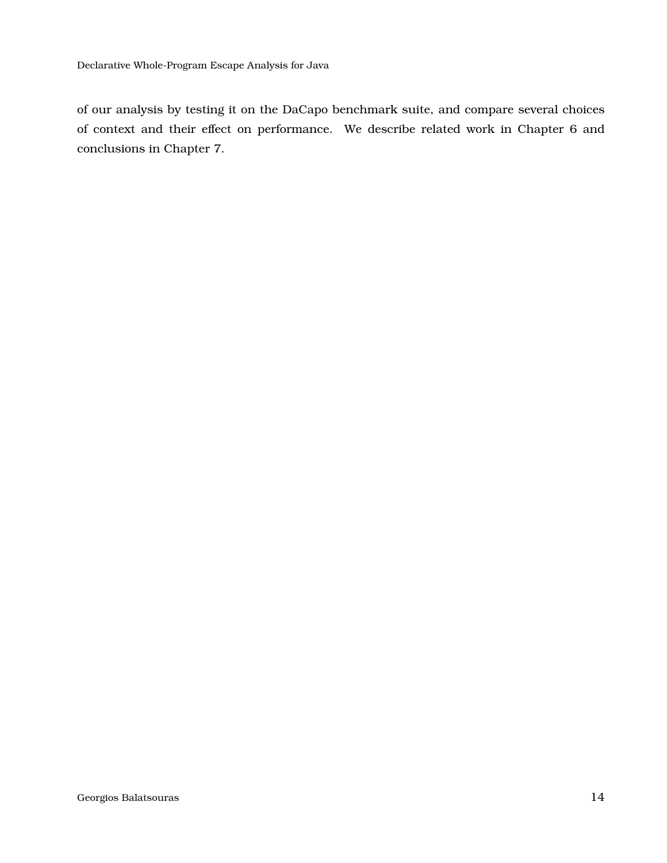of our analysis by testing it on the DaCapo benchmark suite, and compare several choices of context and their effect on performance. We describe related work in Chapter [6](#page-31-0) and conclusions in Chapter [7.](#page-33-0)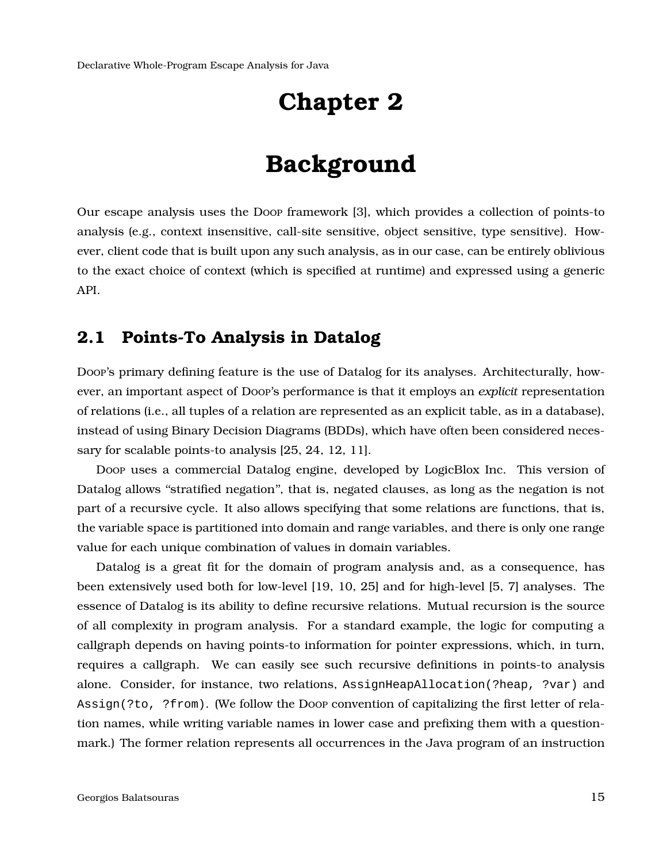## **Background**

<span id="page-14-0"></span>Our escape analysis uses the Doop framework [\[3\]](#page-38-0), which provides a collection of points-to analysis (e.g., context insensitive, call-site sensitive, object sensitive, type sensitive). However, client code that is built upon any such analysis, as in our case, can be entirely oblivious to the exact choice of context (which is specified at runtime) and expressed using a generic API.

#### <span id="page-14-1"></span>**2.1 Points-To Analysis in Datalog**

Doop's primary defining feature is the use of Datalog for its analyses. Architecturally, however, an important aspect of Doop's performance is that it employs an *explicit* representation of relations (i.e., all tuples of a relation are represented as an explicit table, as in a database), instead of using Binary Decision Diagrams (BDDs), which have often been considered necessary for scalable points-to analysis [\[25,](#page-40-0) [24,](#page-40-1) [12,](#page-39-4) [11\]](#page-39-5).

Doop uses a commercial Datalog engine, developed by LogicBlox Inc. This version of Datalog allows ''stratified negation'', that is, negated clauses, as long as the negation is not part of a recursive cycle. It also allows specifying that some relations are functions, that is, the variable space is partitioned into domain and range variables, and there is only one range value for each unique combination of values in domain variables.

Datalog is a great fit for the domain of program analysis and, as a consequence, has been extensively used both for low-level [\[19,](#page-40-2) [10,](#page-39-6) [25\]](#page-40-0) and for high-level [\[5,](#page-38-2) [7\]](#page-38-3) analyses. The essence of Datalog is its ability to define recursive relations. Mutual recursion is the source of all complexity in program analysis. For a standard example, the logic for computing a callgraph depends on having points-to information for pointer expressions, which, in turn, requires a callgraph. We can easily see such recursive definitions in points-to analysis alone. Consider, for instance, two relations, AssignHeapAllocation(?heap, ?var) and Assign(?to, ?from). (We follow the Doop convention of capitalizing the first letter of relation names, while writing variable names in lower case and prefixing them with a questionmark.) The former relation represents all occurrences in the Java program of an instruction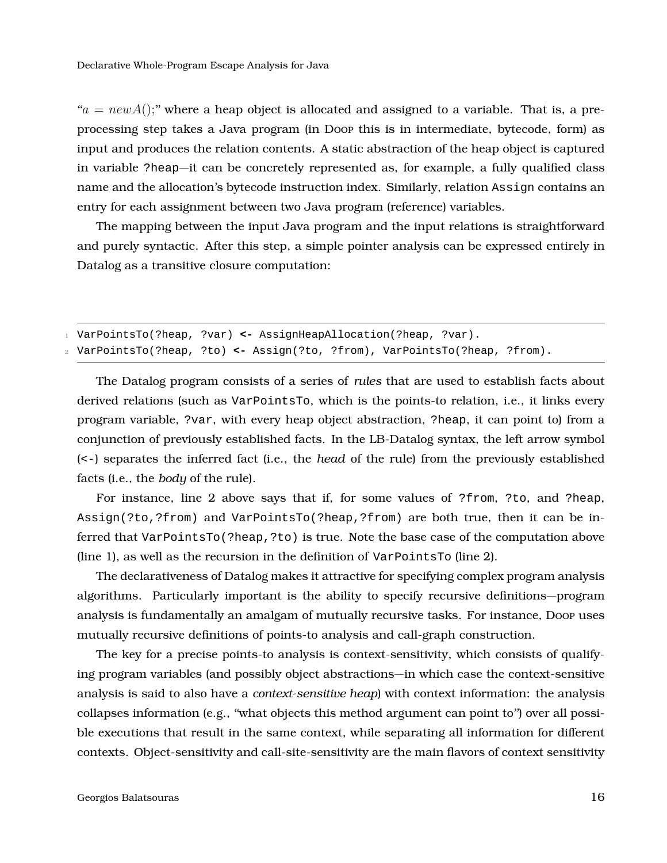$a'a = newA$ ; where a heap object is allocated and assigned to a variable. That is, a preprocessing step takes a Java program (in Doop this is in intermediate, bytecode, form) as input and produces the relation contents. A static abstraction of the heap object is captured in variable ?heap—it can be concretely represented as, for example, a fully qualified class name and the allocation's bytecode instruction index. Similarly, relation Assign contains an entry for each assignment between two Java program (reference) variables.

The mapping between the input Java program and the input relations is straightforward and purely syntactic. After this step, a simple pointer analysis can be expressed entirely in Datalog as a transitive closure computation:

```
1 VarPointsTo(?heap, ?var) <- AssignHeapAllocation(?heap, ?var).
2 VarPointsTo(?heap, ?to) <- Assign(?to, ?from), VarPointsTo(?heap, ?from).
```
The Datalog program consists of a series of *rules* that are used to establish facts about derived relations (such as VarPointsTo, which is the points-to relation, i.e., it links every program variable, ?var, with every heap object abstraction, ?heap, it can point to) from a conjunction of previously established facts. In the LB-Datalog syntax, the left arrow symbol (<-) separates the inferred fact (i.e., the *head* of the rule) from the previously established facts (i.e., the *body* of the rule).

For instance, line 2 above says that if, for some values of ?from, ?to, and ?heap, Assign(?to,?from) and VarPointsTo(?heap,?from) are both true, then it can be inferred that VarPointsTo(?heap,?to) is true. Note the base case of the computation above (line 1), as well as the recursion in the definition of  $VarPointsTo$  (line 2).

The declarativeness of Datalog makes it attractive for specifying complex program analysis algorithms. Particularly important is the ability to specify recursive definitions—program analysis is fundamentally an amalgam of mutually recursive tasks. For instance, Doop uses mutually recursive definitions of points-to analysis and call-graph construction.

The key for a precise points-to analysis is context-sensitivity, which consists of qualifying program variables (and possibly object abstractions—in which case the context-sensitive analysis is said to also have a *context-sensitive heap*) with context information: the analysis collapses information (e.g., ''what objects this method argument can point to'') over all possible executions that result in the same context, while separating all information for different contexts. Object-sensitivity and call-site-sensitivity are the main flavors of context sensitivity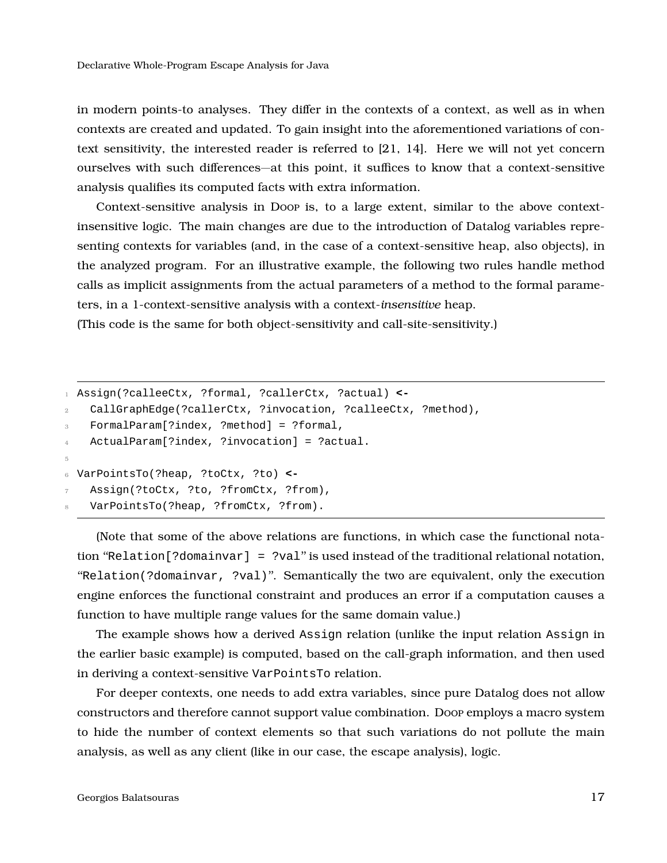in modern points-to analyses. They differ in the contexts of a context, as well as in when contexts are created and updated. To gain insight into the aforementioned variations of context sensitivity, the interested reader is referred to [\[21,](#page-40-3) [14\]](#page-39-7). Here we will not yet concern ourselves with such differences—at this point, it suffices to know that a context-sensitive analysis qualifies its computed facts with extra information.

Context-sensitive analysis in Doop is, to a large extent, similar to the above contextinsensitive logic. The main changes are due to the introduction of Datalog variables representing contexts for variables (and, in the case of a context-sensitive heap, also objects), in the analyzed program. For an illustrative example, the following two rules handle method calls as implicit assignments from the actual parameters of a method to the formal parameters, in a 1-context-sensitive analysis with a context-*insensitive* heap.

(This code is the same for both object-sensitivity and call-site-sensitivity.)

```
1 Assign(?calleeCtx, ?formal, ?callerCtx, ?actual) <-
2 CallGraphEdge(?callerCtx, ?invocation, ?calleeCtx, ?method),
3 FormalParam[?index, ?method] = ?formal,
4 ActualParam[?index, ?invocation] = ?actual.
5
6 VarPointsTo(?heap, ?toCtx, ?to) <-
   Assign(?toCtx, ?to, ?fromCtx, ?from),
   VarPointsTo(?heap, ?fromCtx, ?from).
```
(Note that some of the above relations are functions, in which case the functional notation ''Relation[?domainvar] = ?val'' is used instead of the traditional relational notation, ''Relation(?domainvar, ?val)''. Semantically the two are equivalent, only the execution engine enforces the functional constraint and produces an error if a computation causes a function to have multiple range values for the same domain value.)

The example shows how a derived Assign relation (unlike the input relation Assign in the earlier basic example) is computed, based on the call-graph information, and then used in deriving a context-sensitive VarPointsTo relation.

For deeper contexts, one needs to add extra variables, since pure Datalog does not allow constructors and therefore cannot support value combination. Doop employs a macro system to hide the number of context elements so that such variations do not pollute the main analysis, as well as any client (like in our case, the escape analysis), logic.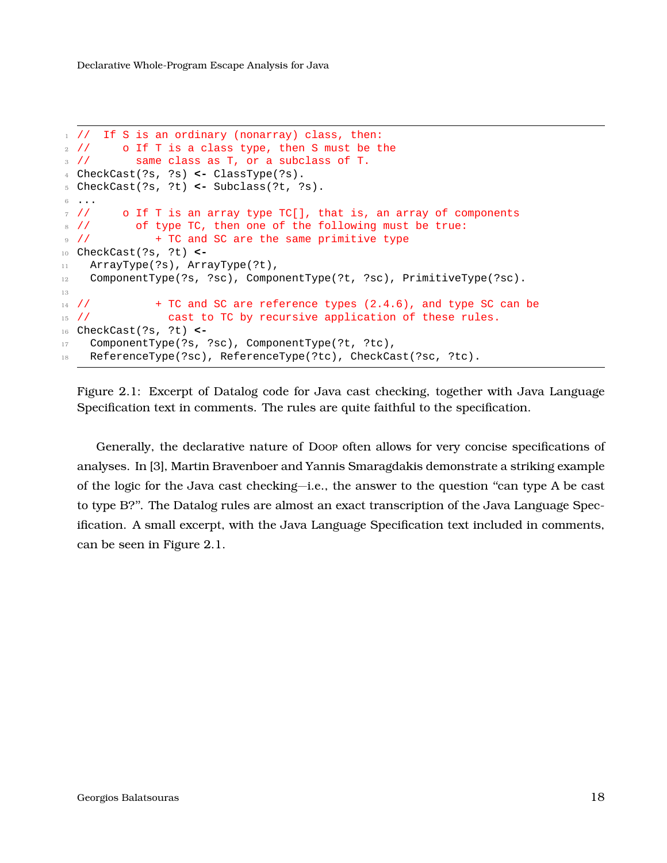```
1 / / If S is an ordinary (nonarray) class, then:
2 // o If T is a class type, then S must be the
3 // same class as T, or a subclass of T.
4 CheckCast(?s, ?s) <- ClassType(?s).
5 CheckCast(?s, ?t) <- Subclass(?t, ?s).
6 ...
7 // o If T is an array type TC[], that is, an array of components
8 // of type TC, then one of the following must be true:
9 // + TC and SC are the same primitive type
10 CheckCast(?s, ?t) <-
11 ArrayType(?s), ArrayType(?t),
12 ComponentType(?s, ?sc), ComponentType(?t, ?sc), PrimitiveType(?sc).
13
14 // + TC and SC are reference types (2.4.6), and type SC can be
15 // cast to TC by recursive application of these rules.
16 CheckCast(?s, ?t) <-
17 ComponentType(?s, ?sc), ComponentType(?t, ?tc),
18 ReferenceType(?sc), ReferenceType(?tc), CheckCast(?sc, ?tc).
```
Figure 2.1: Excerpt of Datalog code for Java cast checking, together with Java Language Specification text in comments. The rules are quite faithful to the specification.

Generally, the declarative nature of Doop often allows for very concise specifications of analyses. In [\[3\]](#page-38-0), Martin Bravenboer and Yannis Smaragdakis demonstrate a striking example of the logic for the Java cast checking—i.e., the answer to the question ''can type A be cast to type B?''. The Datalog rules are almost an exact transcription of the Java Language Specification. A small excerpt, with the Java Language Specification text included in comments, can be seen in Figure [2.1.](#page-17-0)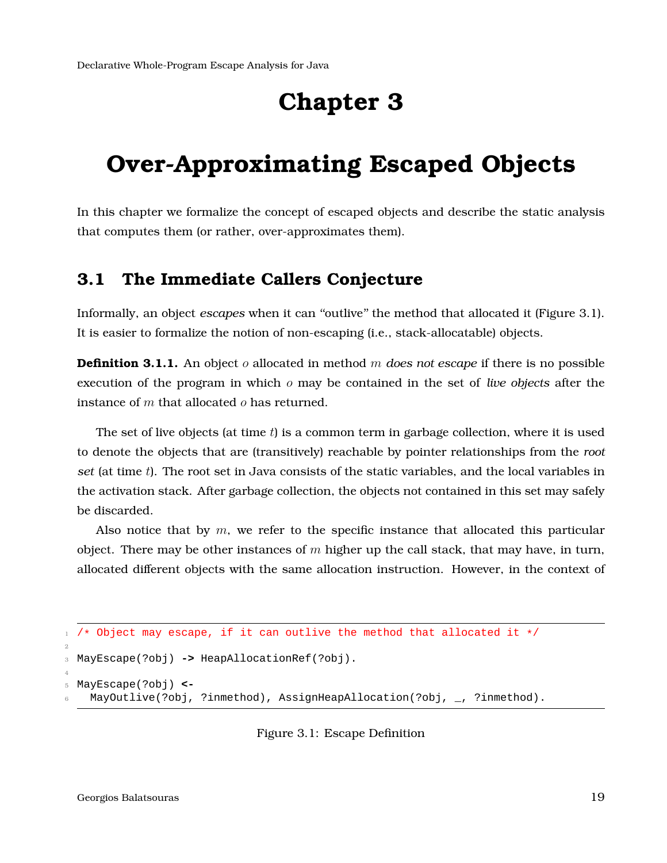### <span id="page-18-0"></span>**Over-Approximating Escaped Objects**

<span id="page-18-1"></span>In this chapter we formalize the concept of escaped objects and describe the static analysis that computes them (or rather, over-approximates them).

#### **3.1 The Immediate Callers Conjecture**

Informally, an object *escapes* when it can "outlive" the method that allocated it (Figure [3.1\)](#page-18-2). It is easier to formalize the notion of non-escaping (i.e., stack-allocatable) objects.

**Definition 3.1.1.** An object o allocated in method m *does not escape* if there is no possible execution of the program in which o may be contained in the set of *live objects* after the instance of  $m$  that allocated  $o$  has returned.

The set of live objects (at time  $t$ ) is a common term in garbage collection, where it is used to denote the objects that are (transitively) reachable by pointer relationships from the *root set* (at time t). The root set in Java consists of the static variables, and the local variables in the activation stack. After garbage collection, the objects not contained in this set may safely be discarded.

Also notice that by  $m$ , we refer to the specific instance that allocated this particular object. There may be other instances of  $m$  higher up the call stack, that may have, in turn, allocated different objects with the same allocation instruction. However, in the context of

```
1 / * Object may escape, if it can outlive the method that allocated it */2
3 MayEscape(?obj) -> HeapAllocationRef(?obj).
4
5 MayEscape(?obj) <-
   MayOutlive(?obj, ?inmethod), AssignHeapAllocation(?obj, _, ?inmethod).
```
Figure 3.1: Escape Definition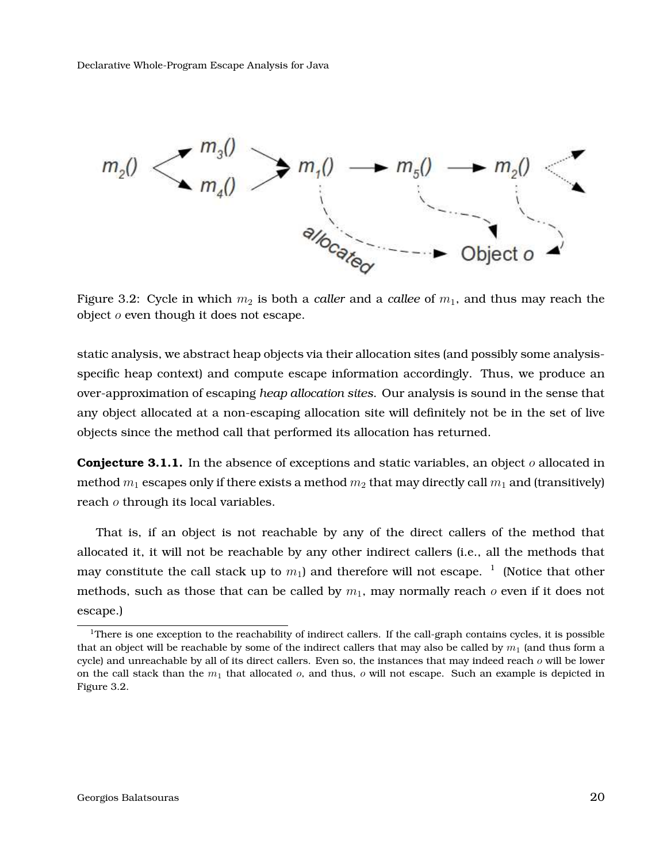<span id="page-19-1"></span>

Figure 3.2: Cycle in which  $m_2$  is both a *caller* and a *callee* of  $m_1$ , and thus may reach the object  $o$  even though it does not escape.

static analysis, we abstract heap objects via their allocation sites (and possibly some analysisspecific heap context) and compute escape information accordingly. Thus, we produce an over-approximation of escaping *heap allocation sites*. Our analysis is sound in the sense that any object allocated at a non-escaping allocation site will definitely not be in the set of live objects since the method call that performed its allocation has returned.

<span id="page-19-3"></span>**Conjecture 3.1.1.** In the absence of exceptions and static variables, an object o allocated in method  $m_1$  escapes only if there exists a method  $m_2$  that may directly call  $m_1$  and (transitively) reach  $o$  through its local variables.

That is, if an object is not reachable by any of the direct callers of the method that allocated it, it will not be reachable by any other indirect callers (i.e., all the methods that may constitute the call stack up to  $m_1$  $m_1$ ) and therefore will not escape.  $^1\,$  (Notice that other methods, such as those that can be called by  $m_1$ , may normally reach  $o$  even if it does not escape.)

<span id="page-19-2"></span><span id="page-19-0"></span> $1$ There is one exception to the reachability of indirect callers. If the call-graph contains cycles, it is possible that an object will be reachable by some of the indirect callers that may also be called by  $m_1$  (and thus form a cycle) and unreachable by all of its direct callers. Even so, the instances that may indeed reach  $o$  will be lower on the call stack than the  $m_1$  that allocated  $o$ , and thus,  $o$  will not escape. Such an example is depicted in Figure [3.2.](#page-19-1)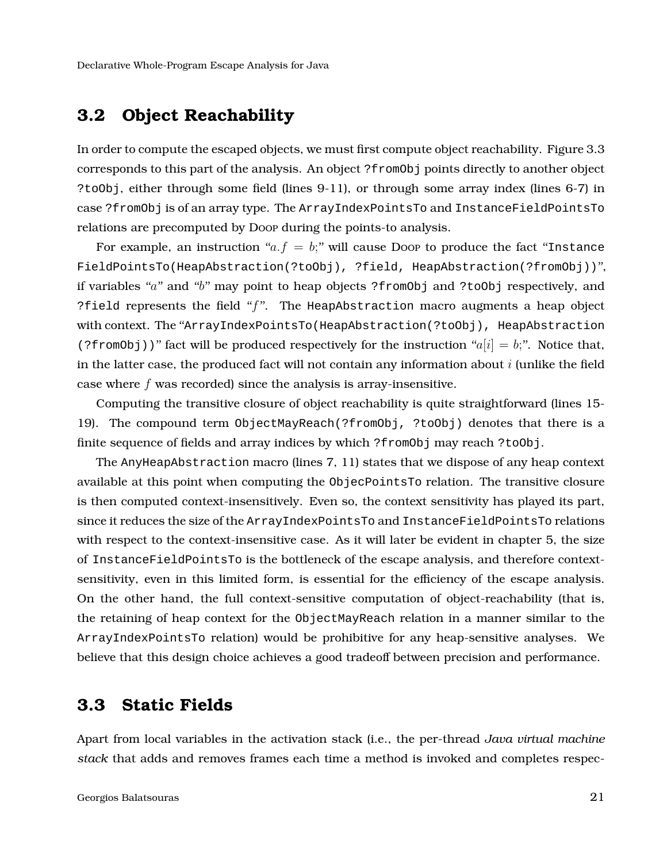#### **3.2 Object Reachability**

In order to compute the escaped objects, we must first compute object reachability. Figure [3.3](#page-21-1) corresponds to this part of the analysis. An object ?fromObj points directly to another object ?toObj, either through some field (lines 9-11), or through some array index (lines 6-7) in case ?fromObj is of an array type. The ArrayIndexPointsTo and InstanceFieldPointsTo relations are precomputed by Doop during the points-to analysis.

For example, an instruction "a.  $f = b$ ;" will cause Doop to produce the fact "Instance" FieldPointsTo(HeapAbstraction(?toObj), ?field, HeapAbstraction(?fromObj))'', if variables " $a$ " and " $b$ " may point to heap objects ?fromObj and ?toObj respectively, and ?field represents the field " $f$ ". The HeapAbstraction macro augments a heap object with context. The "ArrayIndexPointsTo(HeapAbstraction(?toObj), HeapAbstraction (?fromObj))" fact will be produced respectively for the instruction " $a[i] = b;$ ". Notice that, in the latter case, the produced fact will not contain any information about  $i$  (unlike the field case where  $f$  was recorded) since the analysis is array-insensitive.

Computing the transitive closure of object reachability is quite straightforward (lines 15- 19). The compound term ObjectMayReach(?fromObj, ?toObj) denotes that there is a finite sequence of fields and array indices by which ?fromObj may reach ?toObj.

The AnyHeapAbstraction macro (lines 7, 11) states that we dispose of any heap context available at this point when computing the ObjecPointsTo relation. The transitive closure is then computed context-insensitively. Even so, the context sensitivity has played its part, since it reduces the size of the ArrayIndexPointsTo and InstanceFieldPointsTo relations with respect to the context-insensitive case. As it will later be evident in chapter [5,](#page-27-0) the size of InstanceFieldPointsTo is the bottleneck of the escape analysis, and therefore contextsensitivity, even in this limited form, is essential for the efficiency of the escape analysis. On the other hand, the full context-sensitive computation of object-reachability (that is, the retaining of heap context for the ObjectMayReach relation in a manner similar to the ArrayIndexPointsTo relation) would be prohibitive for any heap-sensitive analyses. We believe that this design choice achieves a good tradeoff between precision and performance.

#### <span id="page-20-0"></span>**3.3 Static Fields**

Apart from local variables in the activation stack (i.e., the per-thread *Java virtual machine stack* that adds and removes frames each time a method is invoked and completes respec-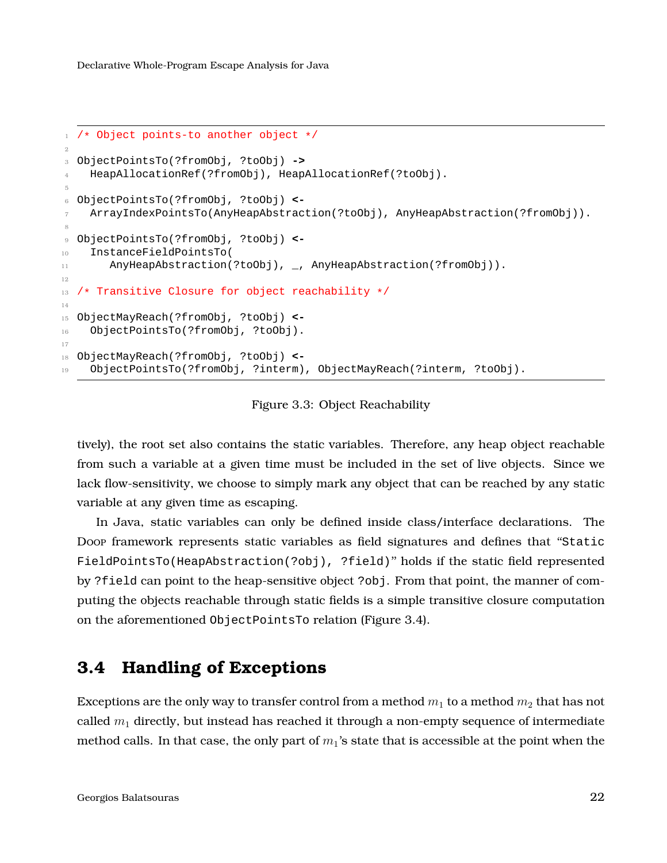```
1 /* Object points-to another object */
\overline{2}3 ObjectPointsTo(?fromObj, ?toObj) ->
4 HeapAllocationRef(?fromObj), HeapAllocationRef(?toObj).
5
6 ObjectPointsTo(?fromObj, ?toObj) <-
7 ArrayIndexPointsTo(AnyHeapAbstraction(?toObj), AnyHeapAbstraction(?fromObj)).
8
9 ObjectPointsTo(?fromObj, ?toObj) <-
10 InstanceFieldPointsTo(
11 AnyHeapAbstraction(?toObj), _, AnyHeapAbstraction(?fromObj)).
12
13 /* Transitive Closure for object reachability */
14
15 ObjectMayReach(?fromObj, ?toObj) <-
16 ObjectPointsTo(?fromObj, ?toObj).
17
18 ObjectMayReach(?fromObj, ?toObj) <-
19 ObjectPointsTo(?fromObj, ?interm), ObjectMayReach(?interm, ?toObj).
```
Figure 3.3: Object Reachability

tively), the root set also contains the static variables. Therefore, any heap object reachable from such a variable at a given time must be included in the set of live objects. Since we lack flow-sensitivity, we choose to simply mark any object that can be reached by any static variable at any given time as escaping.

In Java, static variables can only be defined inside class/interface declarations. The Doop framework represents static variables as field signatures and defines that ''Static FieldPointsTo(HeapAbstraction(?obj), ?field)'' holds if the static field represented by ?field can point to the heap-sensitive object ?obj. From that point, the manner of computing the objects reachable through static fields is a simple transitive closure computation on the aforementioned ObjectPointsTo relation (Figure [3.4\)](#page-22-2).

#### <span id="page-21-0"></span>**3.4 Handling of Exceptions**

Exceptions are the only way to transfer control from a method  $m_1$  to a method  $m_2$  that has not called  $m_1$  directly, but instead has reached it through a non-empty sequence of intermediate method calls. In that case, the only part of  $m_1$ 's state that is accessible at the point when the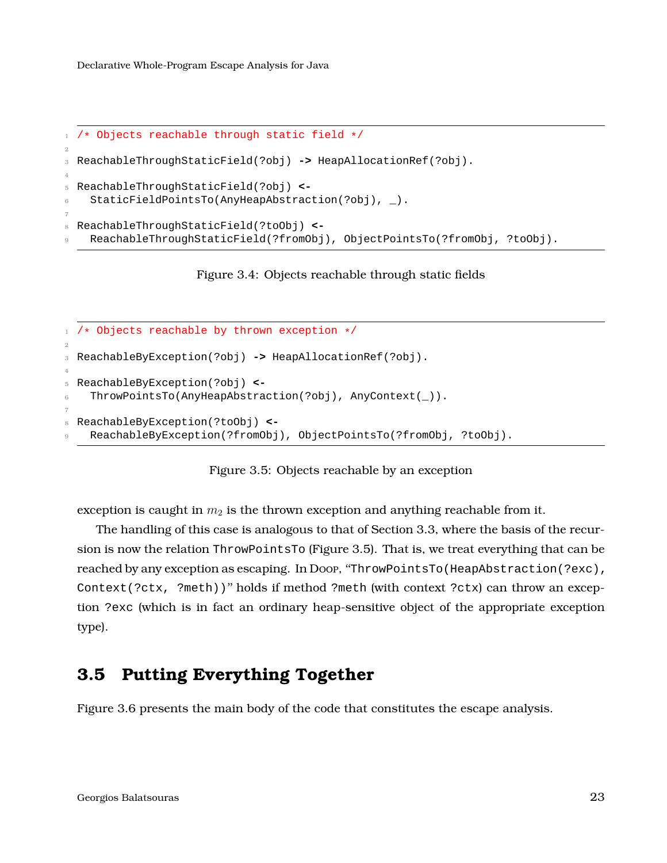```
1 /* Objects reachable through static field */
\overline{2}3 ReachableThroughStaticField(?obj) -> HeapAllocationRef(?obj).
4
5 ReachableThroughStaticField(?obj) <-
    StaticFieldPointsTo(AnyHeapAbstraction(?obj), _).
7
8 ReachableThroughStaticField(?toObj) <-
    9 ReachableThroughStaticField(?fromObj), ObjectPointsTo(?fromObj, ?toObj).
```
Figure 3.4: Objects reachable through static fields

```
1 / * Objects reachable by thrown exception */2
3 ReachableByException(?obj) -> HeapAllocationRef(?obj).
4
5 ReachableByException(?obj) <-
6 ThrowPointsTo(AnyHeapAbstraction(?obj), AnyContext(_)).
7
8 ReachableByException(?toObj) <-
   9 ReachableByException(?fromObj), ObjectPointsTo(?fromObj, ?toObj).
```
Figure 3.5: Objects reachable by an exception

exception is caught in  $m_2$  is the thrown exception and anything reachable from it.

The handling of this case is analogous to that of Section [3.3,](#page-20-0) where the basis of the recursion is now the relation ThrowPointsTo (Figure [3.5\)](#page-22-3). That is, we treat everything that can be reached by any exception as escaping. In Doop, ''ThrowPointsTo(HeapAbstraction(?exc), Context(?ctx, ?meth))'' holds if method ?meth (with context ?ctx) can throw an exception ?exc (which is in fact an ordinary heap-sensitive object of the appropriate exception type).

### <span id="page-22-0"></span>**3.5 Putting Everything Together**

<span id="page-22-1"></span>Figure [3.6](#page-23-0) presents the main body of the code that constitutes the escape analysis.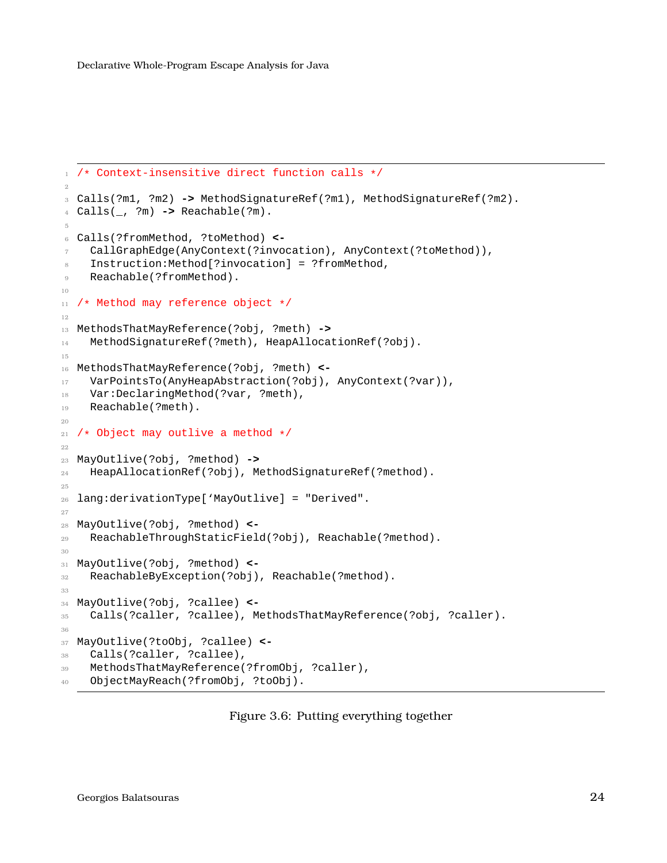```
1 /* Context-insensitive direct function calls */
2
3 Calls(?m1, ?m2) -> MethodSignatureRef(?m1), MethodSignatureRef(?m2).
4 Calls(_, ?m) -> Reachable(?m).
5
6 Calls(?fromMethod, ?toMethod) <-
7 CallGraphEdge(AnyContext(?invocation), AnyContext(?toMethod)),
8 Instruction:Method[?invocation] = ?fromMethod,
9 Reachable(?fromMethod).
10
11 /* Method may reference object */
12
13 MethodsThatMayReference(?obj, ?meth) ->
14 MethodSignatureRef(?meth), HeapAllocationRef(?obj).
15
16 MethodsThatMayReference(?obj, ?meth) <-
17 VarPointsTo(AnyHeapAbstraction(?obj), AnyContext(?var)),
18 Var:DeclaringMethod(?var, ?meth),
19 Reachable(?meth).
20
21 /* Object may outlive a method */
22
23 MayOutlive(?obj, ?method) ->
24 HeapAllocationRef(?obj), MethodSignatureRef(?method).
25
26 lang:derivationType['MayOutlive] = "Derived".
27
28 MayOutlive(?obj, ?method) <-
29 ReachableThroughStaticField(?obj), Reachable(?method).
30
31 MayOutlive(?obj, ?method) <-
32 ReachableByException(?obj), Reachable(?method).
33
34 MayOutlive(?obj, ?callee) <-
35 Calls(?caller, ?callee), MethodsThatMayReference(?obj, ?caller).
36
37 MayOutlive(?toObj, ?callee) <-
38 Calls(?caller, ?callee),
39 MethodsThatMayReference(?fromObj, ?caller),
40 ObjectMayReach(?fromObj, ?toObj).
```
Figure 3.6: Putting everything together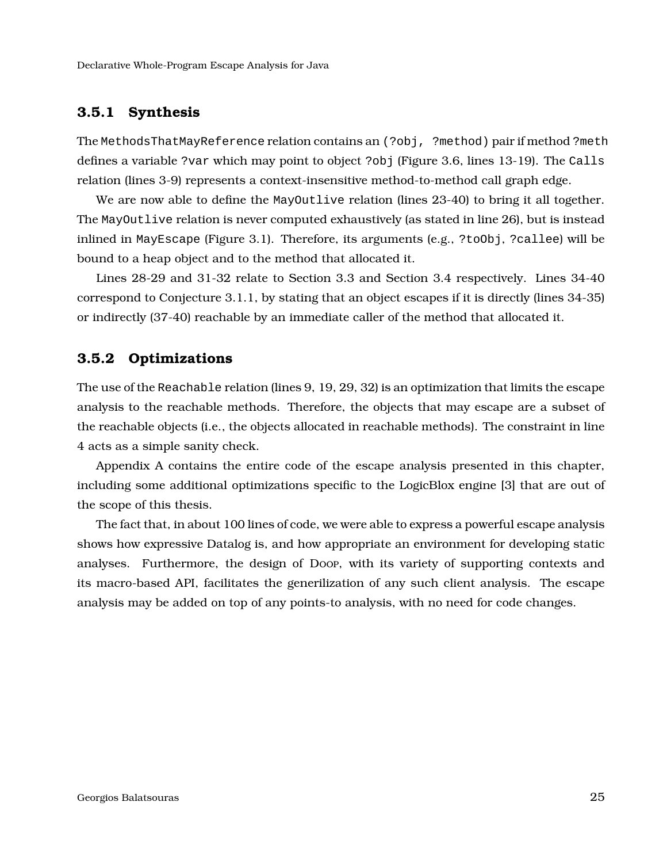#### **3.5.1 Synthesis**

The MethodsThatMayReference relation contains an (?obj, ?method) pair if method ?meth defines a variable ?var which may point to object ?obj (Figure [3.6,](#page-23-0) lines 13-19). The Calls relation (lines 3-9) represents a context-insensitive method-to-method call graph edge.

We are now able to define the MayOutlive relation (lines 23-40) to bring it all together. The MayOutlive relation is never computed exhaustively (as stated in line 26), but is instead inlined in MayEscape (Figure [3.1\)](#page-18-2). Therefore, its arguments (e.g., ?toObj, ?callee) will be bound to a heap object and to the method that allocated it.

<span id="page-24-0"></span>Lines 28-29 and 31-32 relate to Section [3.3](#page-20-0) and Section [3.4](#page-21-0) respectively. Lines 34-40 correspond to Conjecture [3.1.1,](#page-19-3) by stating that an object escapes if it is directly (lines 34-35) or indirectly (37-40) reachable by an immediate caller of the method that allocated it.

#### **3.5.2 Optimizations**

The use of the Reachable relation (lines 9, 19, 29, 32) is an optimization that limits the escape analysis to the reachable methods. Therefore, the objects that may escape are a subset of the reachable objects (i.e., the objects allocated in reachable methods). The constraint in line 4 acts as a simple sanity check.

Appendix [A](#page-35-0) contains the entire code of the escape analysis presented in this chapter, including some additional optimizations specific to the LogicBlox engine [\[3\]](#page-38-0) that are out of the scope of this thesis.

The fact that, in about 100 lines of code, we were able to express a powerful escape analysis shows how expressive Datalog is, and how appropriate an environment for developing static analyses. Furthermore, the design of Doop, with its variety of supporting contexts and its macro-based API, facilitates the generilization of any such client analysis. The escape analysis may be added on top of any points-to analysis, with no need for code changes.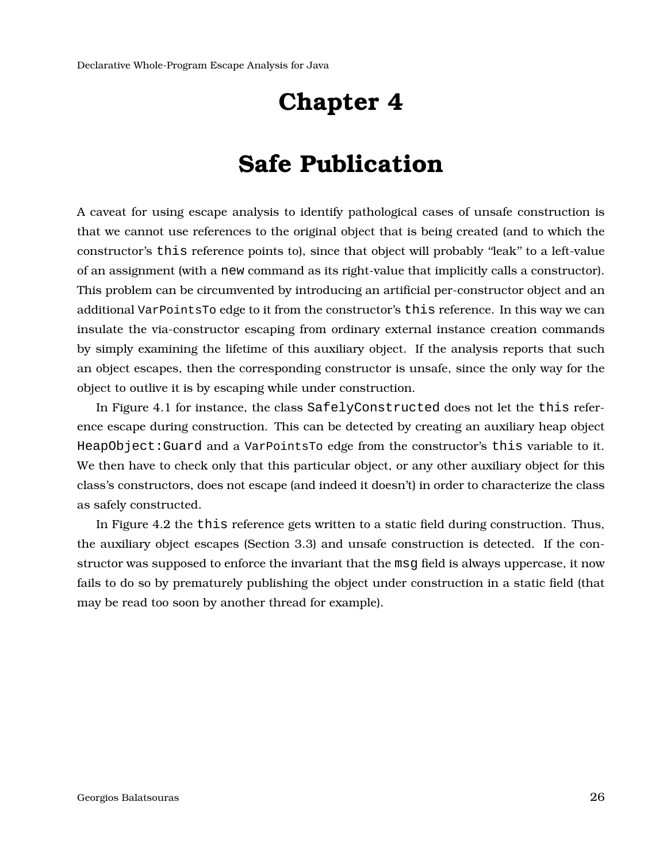## **Safe Publication**

<span id="page-25-0"></span>A caveat for using escape analysis to identify pathological cases of unsafe construction is that we cannot use references to the original object that is being created (and to which the constructor's this reference points to), since that object will probably ''leak'' to a left-value of an assignment (with a new command as its right-value that implicitly calls a constructor). This problem can be circumvented by introducing an artificial per-constructor object and an additional VarPointsTo edge to it from the constructor's this reference. In this way we can insulate the via-constructor escaping from ordinary external instance creation commands by simply examining the lifetime of this auxiliary object. If the analysis reports that such an object escapes, then the corresponding constructor is unsafe, since the only way for the object to outlive it is by escaping while under construction.

In Figure [4.1](#page-26-0) for instance, the class SafelyConstructed does not let the this reference escape during construction. This can be detected by creating an auxiliary heap object HeapObject:Guard and a VarPointsTo edge from the constructor's this variable to it. We then have to check only that this particular object, or any other auxiliary object for this class's constructors, does not escape (and indeed it doesn't) in order to characterize the class as safely constructed.

In Figure [4.2](#page-26-1) the this reference gets written to a static field during construction. Thus, the auxiliary object escapes (Section [3.3\)](#page-20-0) and unsafe construction is detected. If the constructor was supposed to enforce the invariant that the msg field is always uppercase, it now fails to do so by prematurely publishing the object under construction in a static field (that may be read too soon by another thread for example).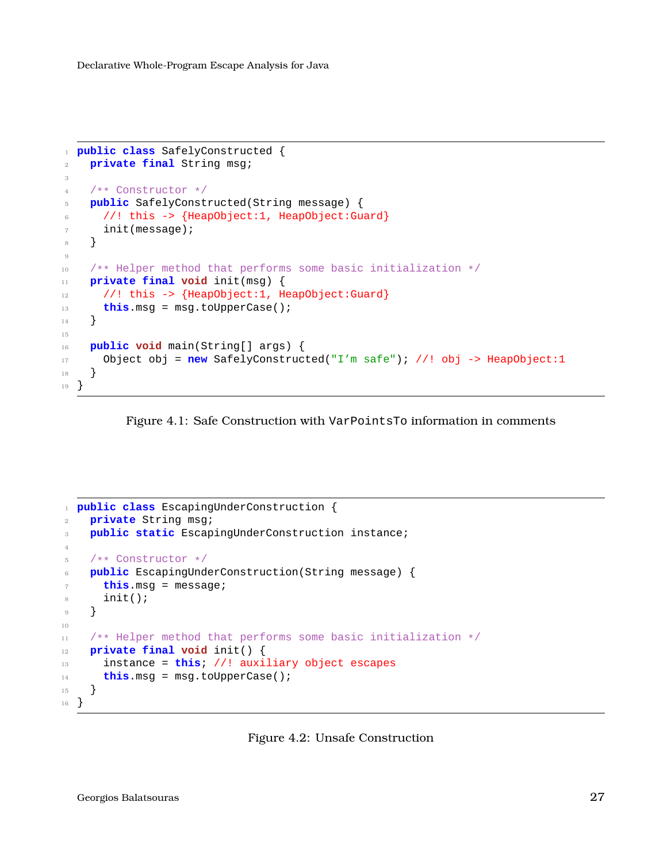```
1 public class SafelyConstructed {
2 private final String msg;
3
4 /** Constructor */
5 public SafelyConstructed(String message) {
6 //! this -> {HeapObject:1, HeapObject:Guard}
7 init(message);
8 }
9
10 /** Helper method that performs some basic initialization */
11 private final void init(msg) {
12 //! this -> {HeapObject:1, HeapObject:Guard}
13 this.msg = msg.toUpperCase();
14 }
15
16 public void main(String[] args) {
17 Object obj = new SafelyConstructed("I'm safe"); //! obj -> HeapObject:1
18 }
19 }
```
<span id="page-26-1"></span>

```
1 public class EscapingUnderConstruction {
2 private String msg;
3 public static EscapingUnderConstruction instance;
4
5 /** Constructor */
6 public EscapingUnderConstruction(String message) {
7 this.msg = message;
8 init();
9 }
10
11 /** Helper method that performs some basic initialization */
12 private final void init() {
13 instance = this; //! auxiliary object escapes
14 this.msg = msg.toUpperCase();
15 }
16 }
```
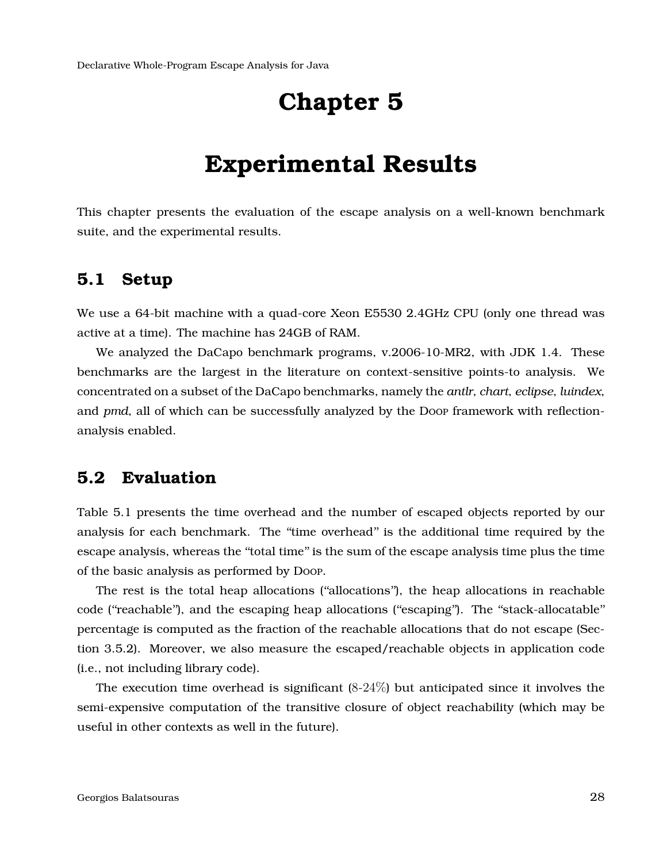### **Experimental Results**

<span id="page-27-1"></span><span id="page-27-0"></span>This chapter presents the evaluation of the escape analysis on a well-known benchmark suite, and the experimental results.

#### **5.1 Setup**

We use a 64-bit machine with a quad-core Xeon E5530 2.4GHz CPU (only one thread was active at a time). The machine has 24GB of RAM.

We analyzed the DaCapo benchmark programs, v.2006-10-MR2, with JDK 1.4. These benchmarks are the largest in the literature on context-sensitive points-to analysis. We concentrated on a subset of the DaCapo benchmarks, namely the *antlr*, *chart*, *eclipse*, *luindex*, and *pmd*, all of which can be successfully analyzed by the Doop framework with reflectionanalysis enabled.

#### <span id="page-27-2"></span>**5.2 Evaluation**

Table [5.1](#page-28-0) presents the time overhead and the number of escaped objects reported by our analysis for each benchmark. The "time overhead" is the additional time required by the escape analysis, whereas the ''total time'' is the sum of the escape analysis time plus the time of the basic analysis as performed by Doop.

The rest is the total heap allocations (''allocations''), the heap allocations in reachable code (''reachable''), and the escaping heap allocations (''escaping''). The ''stack-allocatable'' percentage is computed as the fraction of the reachable allocations that do not escape (Section [3.5.2\)](#page-24-0). Moreover, we also measure the escaped/reachable objects in application code (i.e., not including library code).

The execution time overhead is significant  $(8-24\%)$  but anticipated since it involves the semi-expensive computation of the transitive closure of object reachability (which may be useful in other contexts as well in the future).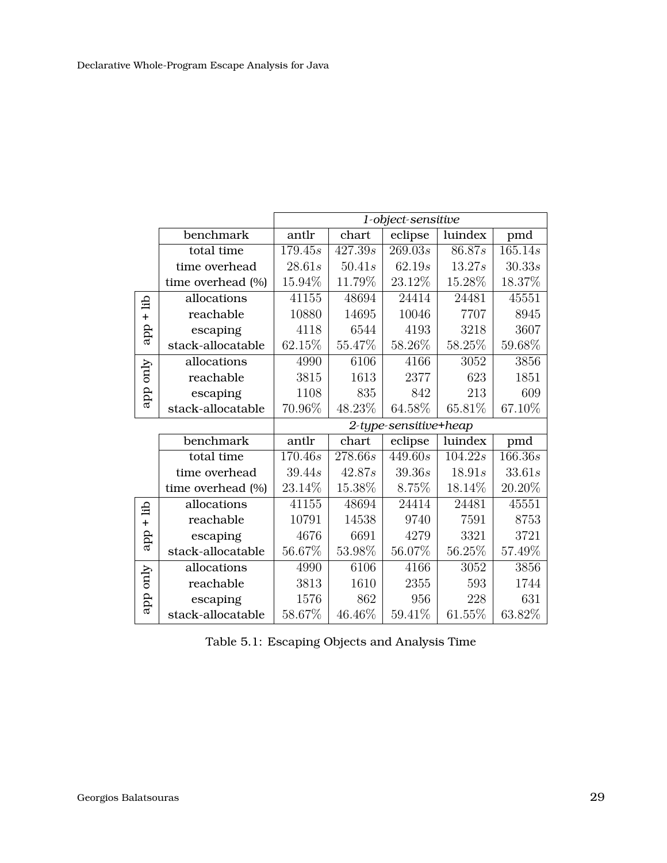<span id="page-28-0"></span>

|           |                   | 1-object-sensitive |                       |                      |         |         |  |  |
|-----------|-------------------|--------------------|-----------------------|----------------------|---------|---------|--|--|
|           | benchmark         | antlr              | chart                 | eclipse              | luindex | pmd     |  |  |
|           | total time        | 179.45s            | 427.39s               | $\overline{269.03s}$ | 86.87s  | 165.14s |  |  |
|           | time overhead     | 28.61s             | 50.41s                | 62.19s               | 13.27s  | 30.33s  |  |  |
|           | time overhead (%) | 15.94%             | 11.79%                | 23.12%               | 15.28%  | 18.37%  |  |  |
| dil       | allocations       | 41155              | 48694                 | 24414                | 24481   | 45551   |  |  |
| $\ddot{}$ | reachable         | 10880              | 14695                 | 10046                | 7707    | 8945    |  |  |
| app       | escaping          | 4118               | 6544                  | 4193                 | 3218    | 3607    |  |  |
|           | stack-allocatable | 62.15%             | 55.47%                | 58.26%               | 58.25%  | 59.68%  |  |  |
|           | allocations       | 4990               | 6106                  | 4166                 | 3052    | 3856    |  |  |
| Auo dde   | reachable         | 3815               | 1613                  | 2377                 | 623     | 1851    |  |  |
|           | escaping          | 1108               | 835                   | 842                  | 213     | 609     |  |  |
|           | stack-allocatable | 70.96%             | 48.23%                | 64.58%               | 65.81%  | 67.10%  |  |  |
|           |                   |                    | 2-type-sensitive+heap |                      |         |         |  |  |
|           | benchmark         | antlr              | chart                 | eclipse              | luindex | pmd     |  |  |
|           | total time        | 170.46s            | $\overline{278.66s}$  | $\frac{449.60s}{ }$  | 104.22s | 166.36s |  |  |
|           | time overhead     | 39.44s             | 42.87s                | 39.36s               | 18.91s  | 33.61s  |  |  |
|           | time overhead (%) | 23.14%             | 15.38%                | 8.75%                | 18.14%  | 20.20%  |  |  |
| di        | allocations       | 41155              | 48694                 | 24414                | 24481   | 45551   |  |  |
| $\ddot{}$ | reachable         | 10791              | 14538                 | 9740                 | 7591    | 8753    |  |  |
| app       | escaping          | 4676               | 6691                  | 4279                 | 3321    | 3721    |  |  |
|           | stack-allocatable | 56.67%             | 53.98%                | 56.07%               | 56.25%  | 57.49%  |  |  |
|           | allocations       | 4990               | 6106                  | 4166                 | 3052    | 3856    |  |  |
| App only  | reachable         | 3813               | 1610                  | 2355                 | 593     | 1744    |  |  |
|           | escaping          | 1576               | 862                   | 956                  | 228     | 631     |  |  |
|           | stack-allocatable | 58.67%             | 46.46%                | 59.41%               | 61.55%  | 63.82%  |  |  |

Table 5.1: Escaping Objects and Analysis Time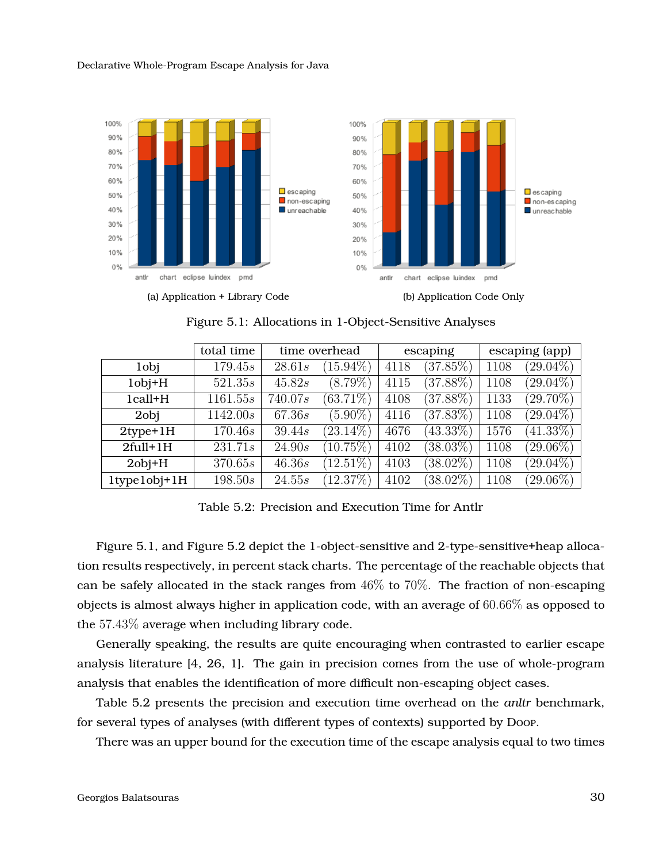<span id="page-29-0"></span>

Figure 5.1: Allocations in 1-Object-Sensitive Analyses

<span id="page-29-1"></span>

|                         | total time | time overhead |             | escaping |             | escaping (app) |             |
|-------------------------|------------|---------------|-------------|----------|-------------|----------------|-------------|
| 1 <sub>obj</sub>        | 179.45s    | 28.61s        | $(15.94\%)$ | 4118     | (37.85%)    | 1108           | $(29.04\%)$ |
| $1$ obj $+H$            | 521.35s    | 45.82s        | $(8.79\%)$  | 4115     | $(37.88\%)$ | 1108           | $(29.04\%)$ |
| 1call+H                 | 1161.55s   | 740.07s       | $(63.71\%)$ | 4108     | $(37.88\%)$ | 1133           | $(29.70\%)$ |
| 2obj                    | 1142.00s   | 67.36s        | $(5.90\%)$  | 4116     | $(37.83\%)$ | 1108           | $(29.04\%)$ |
| $2$ type $+1$ H         | 170.46s    | 39.44s        | $(23.14\%)$ | 4676     | $(43.33\%)$ | 1576           | $(41.33\%)$ |
| $2full+1H$              | 231.71s    | 24.90s        | $(10.75\%)$ | 4102     | $(38.03\%)$ | 1108           | $(29.06\%)$ |
| $2$ obj $+H$            | 370.65s    | 46.36s        | $(12.51\%)$ | 4103     | $(38.02\%)$ | 1108           | $(29.04\%)$ |
| $1$ type $1$ obj $+1$ H | 198.50s    | 24.55s        | (12.37%)    | 4102     | $(38.02\%)$ | 1108           | $(29.06\%)$ |

Table 5.2: Precision and Execution Time for Antlr

Figure [5.1,](#page-29-0) and Figure [5.2](#page-30-0) depict the 1-object-sensitive and 2-type-sensitive+heap allocation results respectively, in percent stack charts. The percentage of the reachable objects that can be safely allocated in the stack ranges from  $46\%$  to  $70\%$ . The fraction of non-escaping objects is almost always higher in application code, with an average of  $60.66\%$  as opposed to the 57.43% average when including library code.

Generally speaking, the results are quite encouraging when contrasted to earlier escape analysis literature [\[4,](#page-38-4) [26,](#page-40-4) [1\]](#page-38-5). The gain in precision comes from the use of whole-program analysis that enables the identification of more difficult non-escaping object cases.

Table [5.2](#page-29-1) presents the precision and execution time overhead on the *anltr* benchmark, for several types of analyses (with different types of contexts) supported by Doop.

There was an upper bound for the execution time of the escape analysis equal to two times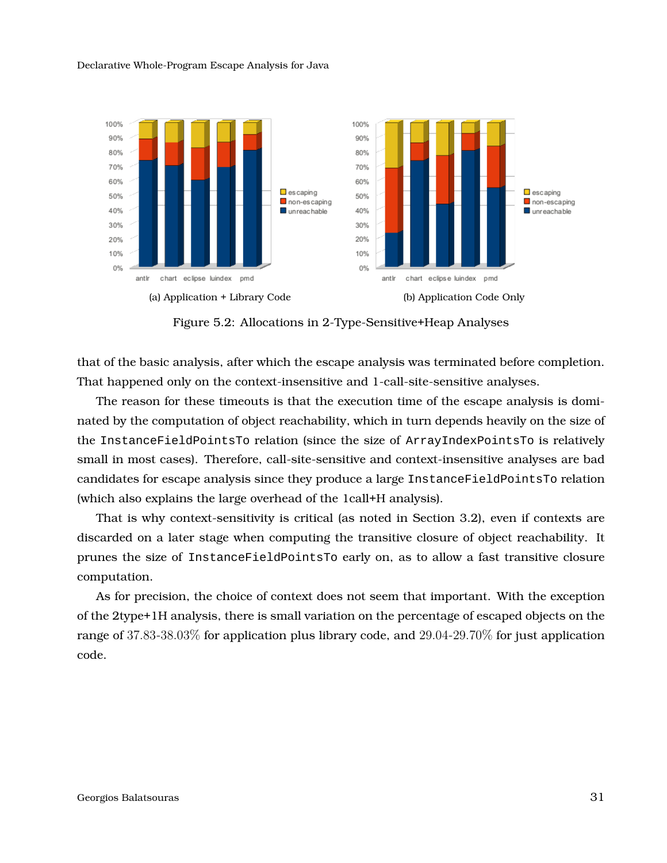<span id="page-30-0"></span>

Figure 5.2: Allocations in 2-Type-Sensitive+Heap Analyses

that of the basic analysis, after which the escape analysis was terminated before completion. That happened only on the context-insensitive and 1-call-site-sensitive analyses.

The reason for these timeouts is that the execution time of the escape analysis is dominated by the computation of object reachability, which in turn depends heavily on the size of the InstanceFieldPointsTo relation (since the size of ArrayIndexPointsTo is relatively small in most cases). Therefore, call-site-sensitive and context-insensitive analyses are bad candidates for escape analysis since they produce a large InstanceFieldPointsTo relation (which also explains the large overhead of the 1call+H analysis).

That is why context-sensitivity is critical (as noted in Section [3.2\)](#page-19-0), even if contexts are discarded on a later stage when computing the transitive closure of object reachability. It prunes the size of InstanceFieldPointsTo early on, as to allow a fast transitive closure computation.

As for precision, the choice of context does not seem that important. With the exception of the 2type+1H analysis, there is small variation on the percentage of escaped objects on the range of 37.83-38.03% for application plus library code, and 29.04-29.70% for just application code.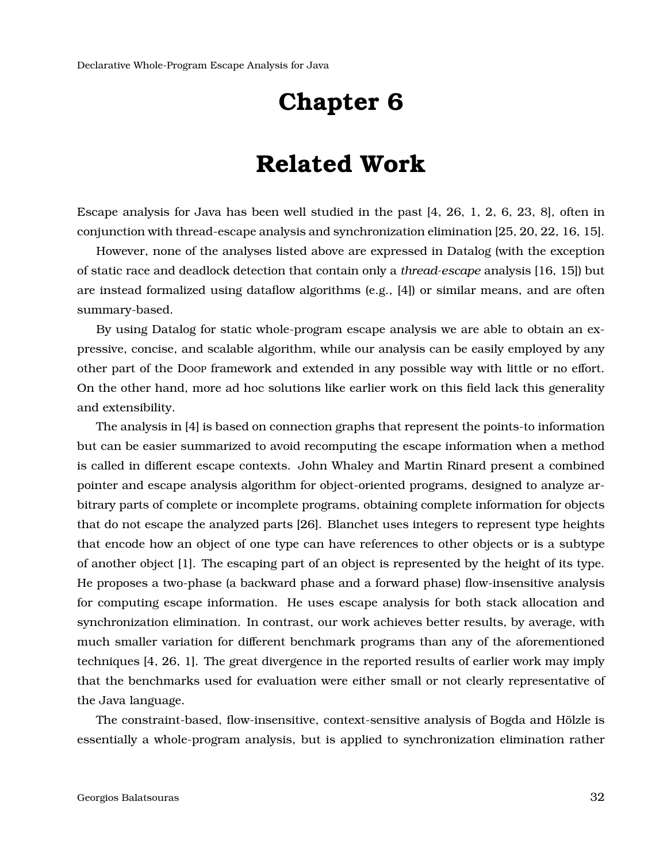### **Related Work**

<span id="page-31-0"></span>Escape analysis for Java has been well studied in the past [\[4,](#page-38-4) [26,](#page-40-4) [1,](#page-38-5) [2,](#page-38-6) [6,](#page-38-7) [23,](#page-40-5) [8\]](#page-38-8), often in conjunction with thread-escape analysis and synchronization elimination [\[25,](#page-40-0) [20,](#page-40-6) [22,](#page-40-7) [16,](#page-39-8) [15\]](#page-39-9).

However, none of the analyses listed above are expressed in Datalog (with the exception of static race and deadlock detection that contain only a *thread-escape* analysis [\[16,](#page-39-8) [15\]](#page-39-9)) but are instead formalized using dataflow algorithms (e.g., [\[4\]](#page-38-4)) or similar means, and are often summary-based.

By using Datalog for static whole-program escape analysis we are able to obtain an expressive, concise, and scalable algorithm, while our analysis can be easily employed by any other part of the Doop framework and extended in any possible way with little or no effort. On the other hand, more ad hoc solutions like earlier work on this field lack this generality and extensibility.

The analysis in [\[4\]](#page-38-4) is based on connection graphs that represent the points-to information but can be easier summarized to avoid recomputing the escape information when a method is called in different escape contexts. John Whaley and Martin Rinard present a combined pointer and escape analysis algorithm for object-oriented programs, designed to analyze arbitrary parts of complete or incomplete programs, obtaining complete information for objects that do not escape the analyzed parts [\[26\]](#page-40-4). Blanchet uses integers to represent type heights that encode how an object of one type can have references to other objects or is a subtype of another object [\[1\]](#page-38-5). The escaping part of an object is represented by the height of its type. He proposes a two-phase (a backward phase and a forward phase) flow-insensitive analysis for computing escape information. He uses escape analysis for both stack allocation and synchronization elimination. In contrast, our work achieves better results, by average, with much smaller variation for different benchmark programs than any of the aforementioned techniques [\[4,](#page-38-4) [26,](#page-40-4) [1\]](#page-38-5). The great divergence in the reported results of earlier work may imply that the benchmarks used for evaluation were either small or not clearly representative of the Java language.

The constraint-based, flow-insensitive, context-sensitive analysis of Bogda and Hölzle is essentially a whole-program analysis, but is applied to synchronization elimination rather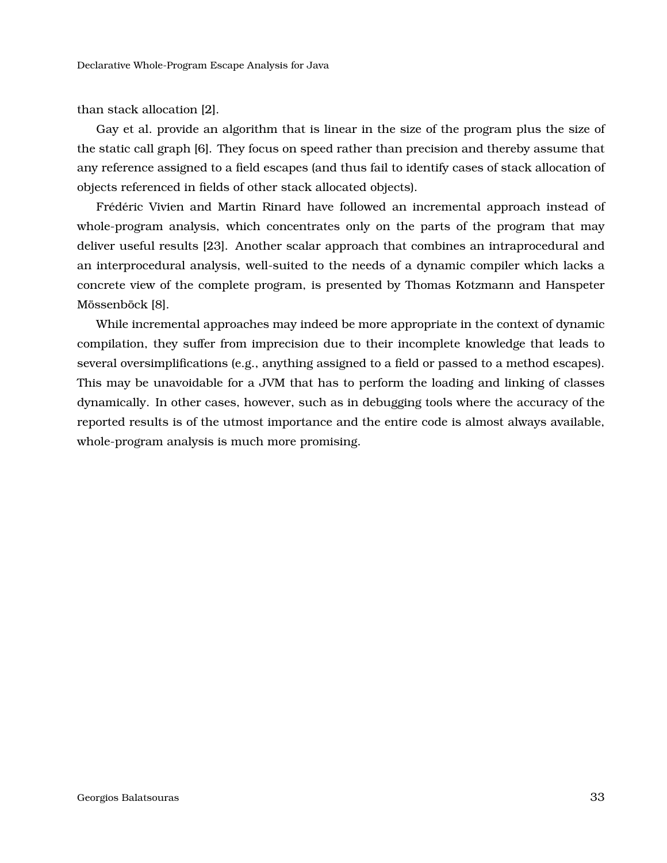than stack allocation [\[2\]](#page-38-6).

Gay et al. provide an algorithm that is linear in the size of the program plus the size of the static call graph [\[6\]](#page-38-7). They focus on speed rather than precision and thereby assume that any reference assigned to a field escapes (and thus fail to identify cases of stack allocation of objects referenced in fields of other stack allocated objects).

Frédéric Vivien and Martin Rinard have followed an incremental approach instead of whole-program analysis, which concentrates only on the parts of the program that may deliver useful results [\[23\]](#page-40-5). Another scalar approach that combines an intraprocedural and an interprocedural analysis, well-suited to the needs of a dynamic compiler which lacks a concrete view of the complete program, is presented by Thomas Kotzmann and Hanspeter Mössenböck [\[8\]](#page-38-8).

While incremental approaches may indeed be more appropriate in the context of dynamic compilation, they suffer from imprecision due to their incomplete knowledge that leads to several oversimplifications (e.g., anything assigned to a field or passed to a method escapes). This may be unavoidable for a JVM that has to perform the loading and linking of classes dynamically. In other cases, however, such as in debugging tools where the accuracy of the reported results is of the utmost importance and the entire code is almost always available, whole-program analysis is much more promising.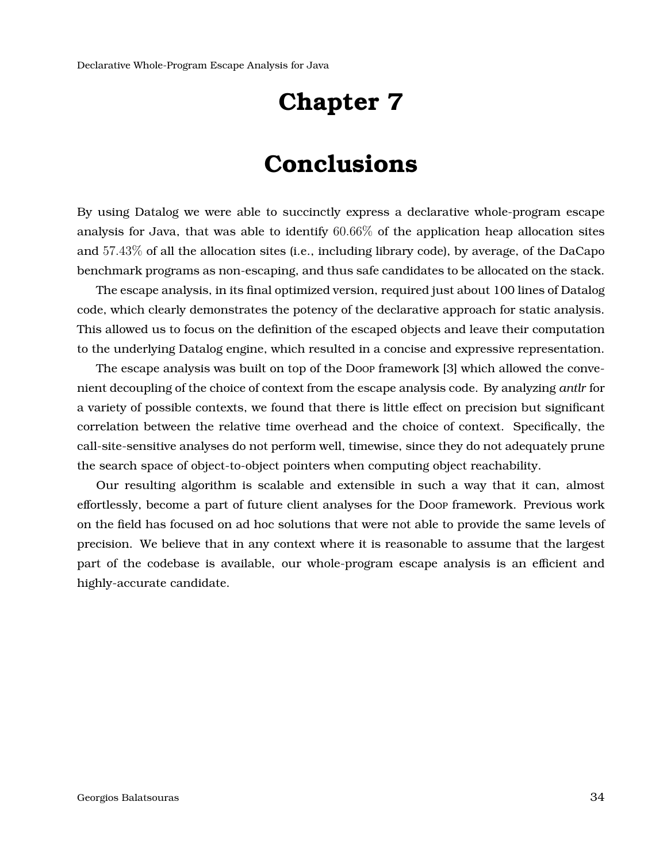## **Conclusions**

<span id="page-33-0"></span>By using Datalog we were able to succinctly express a declarative whole-program escape analysis for Java, that was able to identify  $60.66\%$  of the application heap allocation sites and 57.43% of all the allocation sites (i.e., including library code), by average, of the DaCapo benchmark programs as non-escaping, and thus safe candidates to be allocated on the stack.

The escape analysis, in its final optimized version, required just about 100 lines of Datalog code, which clearly demonstrates the potency of the declarative approach for static analysis. This allowed us to focus on the definition of the escaped objects and leave their computation to the underlying Datalog engine, which resulted in a concise and expressive representation.

The escape analysis was built on top of the Doop framework [\[3\]](#page-38-0) which allowed the convenient decoupling of the choice of context from the escape analysis code. By analyzing *antlr* for a variety of possible contexts, we found that there is little effect on precision but significant correlation between the relative time overhead and the choice of context. Specifically, the call-site-sensitive analyses do not perform well, timewise, since they do not adequately prune the search space of object-to-object pointers when computing object reachability.

Our resulting algorithm is scalable and extensible in such a way that it can, almost effortlessly, become a part of future client analyses for the Doop framework. Previous work on the field has focused on ad hoc solutions that were not able to provide the same levels of precision. We believe that in any context where it is reasonable to assume that the largest part of the codebase is available, our whole-program escape analysis is an efficient and highly-accurate candidate.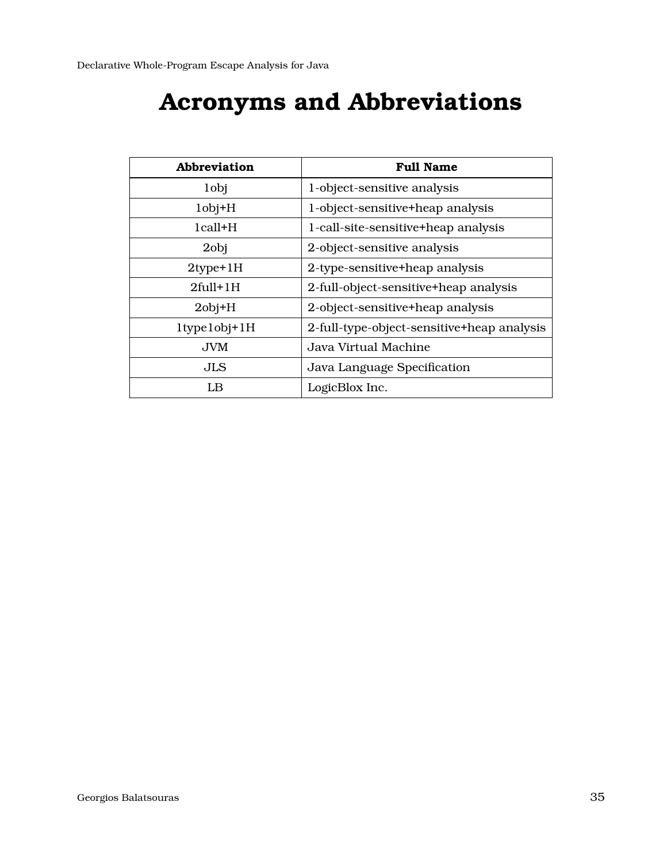# **Acronyms and Abbreviations**

<span id="page-34-1"></span><span id="page-34-0"></span>

| Abbreviation            | <b>Full Name</b>                           |
|-------------------------|--------------------------------------------|
| 1 <sub>obj</sub>        | 1-object-sensitive analysis                |
| $1$ obj $+H$            | 1-object-sensitive+heap analysis           |
| $1$ call $+H$           | 1-call-site-sensitive+heap analysis        |
| 2obj                    | 2-object-sensitive analysis                |
| $2$ type $+1$ H         | 2-type-sensitive+heap analysis             |
| $2full+1H$              | 2-full-object-sensitive+heap analysis      |
| $2$ obj $+H$            | 2-object-sensitive+heap analysis           |
| $1$ type $1$ obj $+1$ H | 2-full-type-object-sensitive+heap analysis |
| <b>JVM</b>              | Java Virtual Machine                       |
| JLS                     | Java Language Specification                |
| LB                      | LogicBlox Inc.                             |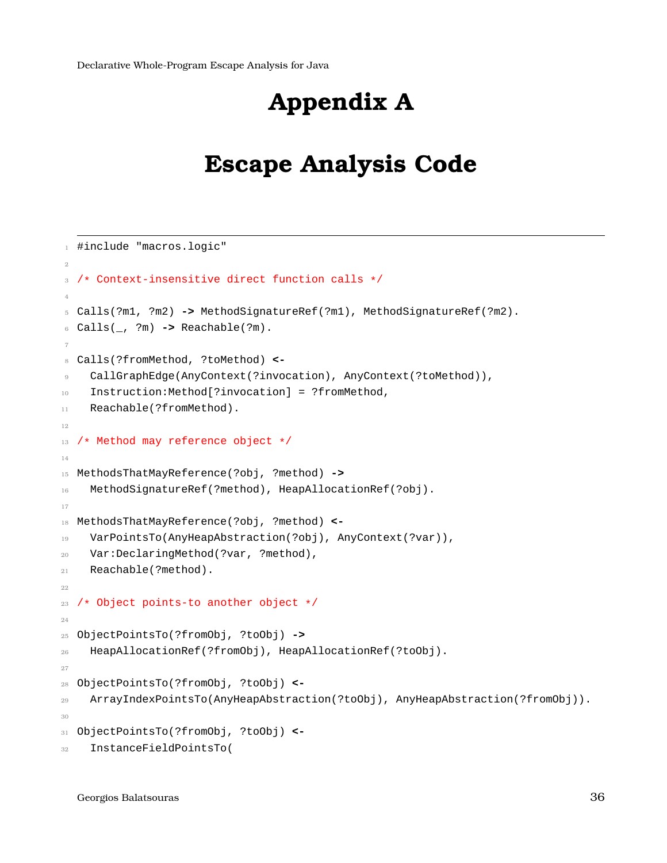<span id="page-35-0"></span>Declarative Whole-Program Escape Analysis for Java

# **Appendix A**

## **Escape Analysis Code**

```
1 #include "macros.logic"
\overline{2}3 /* Context-insensitive direct function calls */
4
5 Calls(?m1, ?m2) -> MethodSignatureRef(?m1), MethodSignatureRef(?m2).
6 Calls(_, ?m) -> Reachable(?m).
7
8 Calls(?fromMethod, ?toMethod) <-
    CallGraphEdge(AnyContext(?invocation), AnyContext(?toMethod)),
10 Instruction:Method[?invocation] = ?fromMethod,
11 Reachable(?fromMethod).
12
13 /* Method may reference object */
14
15 MethodsThatMayReference(?obj, ?method) ->
16 MethodSignatureRef(?method), HeapAllocationRef(?obj).
17
18 MethodsThatMayReference(?obj, ?method) <-
19 VarPointsTo(AnyHeapAbstraction(?obj), AnyContext(?var)),
20 Var:DeclaringMethod(?var, ?method),
21 Reachable(?method).
22
23 /* Object points-to another object */
24
25 ObjectPointsTo(?fromObj, ?toObj) ->
26 HeapAllocationRef(?fromObj), HeapAllocationRef(?toObj).
27
28 ObjectPointsTo(?fromObj, ?toObj) <-
29 ArrayIndexPointsTo(AnyHeapAbstraction(?toObj), AnyHeapAbstraction(?fromObj)).
30
31 ObjectPointsTo(?fromObj, ?toObj) <-
32 InstanceFieldPointsTo(
```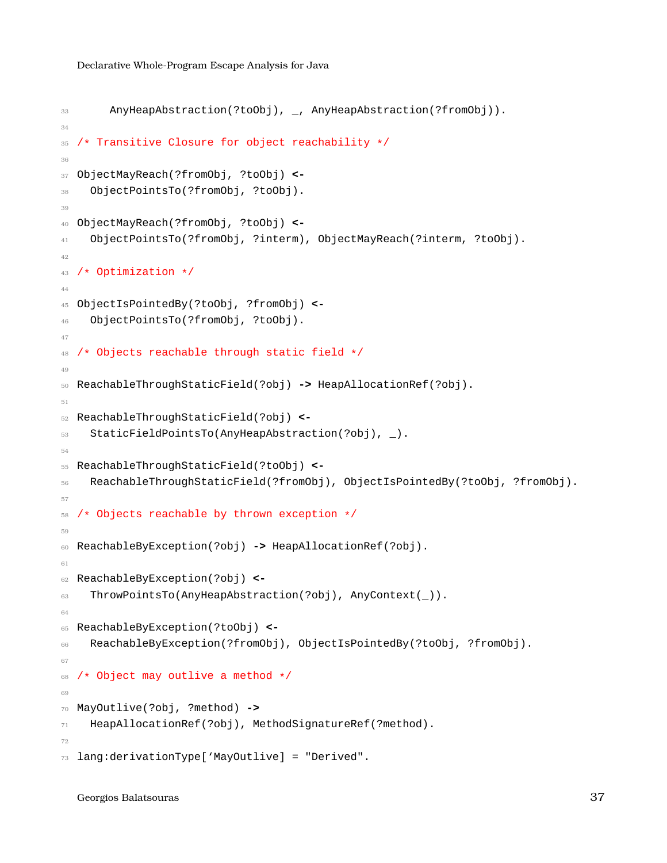```
33 AnyHeapAbstraction(?toObj), _, AnyHeapAbstraction(?fromObj)).
34
35 /* Transitive Closure for object reachability */
36
37 ObjectMayReach(?fromObj, ?toObj) <-
38 ObjectPointsTo(?fromObj, ?toObj).
39
40 ObjectMayReach(?fromObj, ?toObj) <-
41 ObjectPointsTo(?fromObj, ?interm), ObjectMayReach(?interm, ?toObj).
42
43 /* Optimization */
44
45 ObjectIsPointedBy(?toObj, ?fromObj) <-
46 ObjectPointsTo(?fromObj, ?toObj).
47
48 /* Objects reachable through static field */
4950 ReachableThroughStaticField(?obj) -> HeapAllocationRef(?obj).
51
52 ReachableThroughStaticField(?obj) <-
53 StaticFieldPointsTo(AnyHeapAbstraction(?obj), _).
54
55 ReachableThroughStaticField(?toObj) <-
56 ReachableThroughStaticField(?fromObj), ObjectIsPointedBy(?toObj, ?fromObj).
57
58 /* Objects reachable by thrown exception */
59
60 ReachableByException(?obj) -> HeapAllocationRef(?obj).
61
62 ReachableByException(?obj) <-
63 ThrowPointsTo(AnyHeapAbstraction(?obj), AnyContext()).
64
65 ReachableByException(?toObj) <-
66 ReachableByException(?fromObj), ObjectIsPointedBy(?toObj, ?fromObj).
67
68 /* Object may outlive a method */
69
70 MayOutlive(?obj, ?method) ->
71 HeapAllocationRef(?obj), MethodSignatureRef(?method).
79
73 lang:derivationType['MayOutlive] = "Derived".
```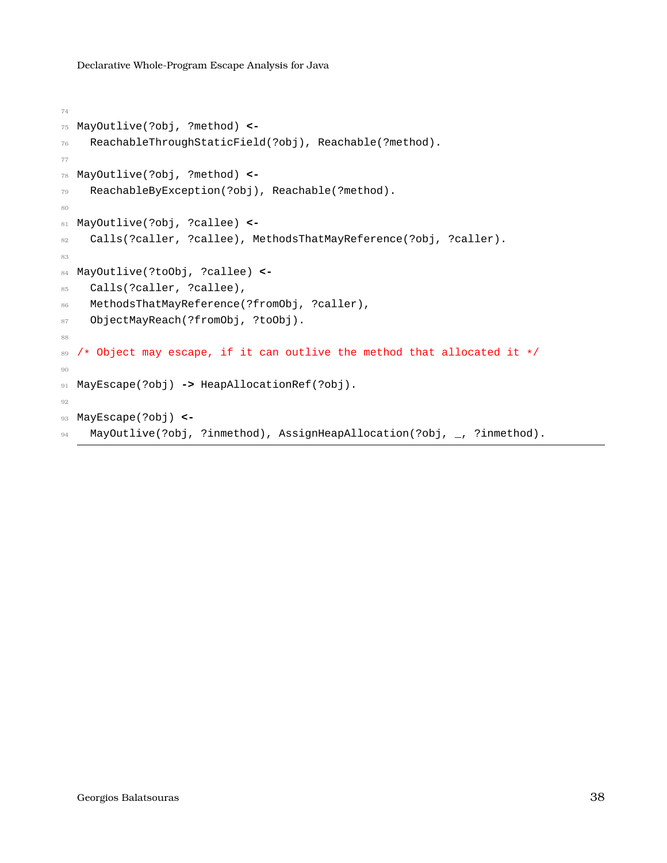```
74
75 MayOutlive(?obj, ?method) <-
76 ReachableThroughStaticField(?obj), Reachable(?method).
77
78 MayOutlive(?obj, ?method) <-
79 ReachableByException(?obj), Reachable(?method).
80
81 MayOutlive(?obj, ?callee) <-
82 Calls(?caller, ?callee), MethodsThatMayReference(?obj, ?caller).
83
84 MayOutlive(?toObj, ?callee) <-
85 Calls(?caller, ?callee),
86 MethodsThatMayReference(?fromObj, ?caller),
87 ObjectMayReach(?fromObj, ?toObj).
88
89 /* Object may escape, if it can outlive the method that allocated it */9091 MayEscape(?obj) -> HeapAllocationRef(?obj).
92
93 MayEscape(?obj) <-
94 MayOutlive(?obj, ?inmethod), AssignHeapAllocation(?obj, _, ?inmethod).
```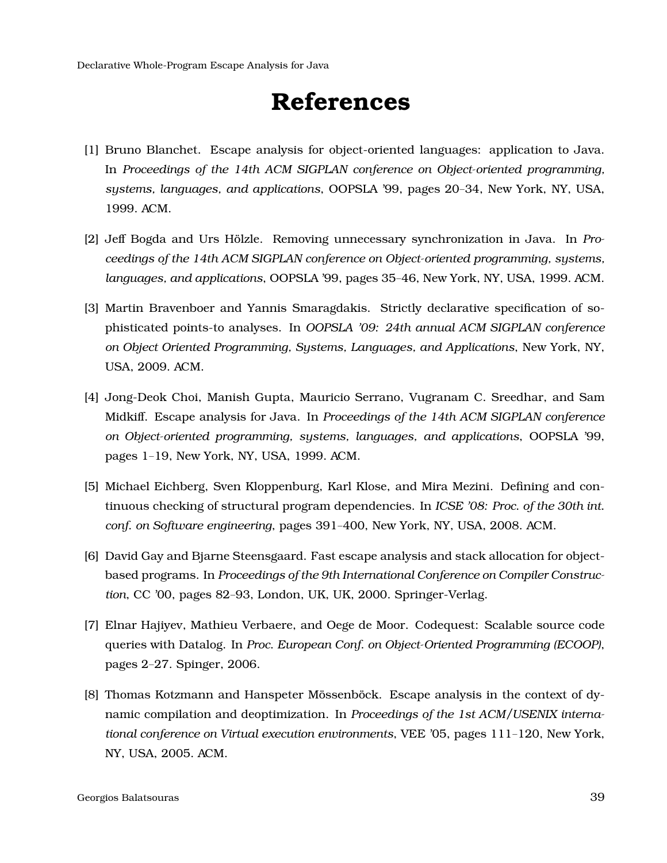# **References**

- <span id="page-38-5"></span><span id="page-38-1"></span>[1] Bruno Blanchet. Escape analysis for object-oriented languages: application to Java. In *Proceedings of the 14th ACM SIGPLAN conference on Object-oriented programming, systems, languages, and applications*, OOPSLA '99, pages 20–34, New York, NY, USA, 1999. ACM.
- <span id="page-38-6"></span>[2] Jeff Bogda and Urs Hölzle. Removing unnecessary synchronization in Java. In Pro*ceedings of the 14th ACM SIGPLAN conference on Object-oriented programming, systems, languages, and applications*, OOPSLA '99, pages 35–46, New York, NY, USA, 1999. ACM.
- <span id="page-38-0"></span>[3] Martin Bravenboer and Yannis Smaragdakis. Strictly declarative specification of sophisticated points-to analyses. In *OOPSLA '09: 24th annual ACM SIGPLAN conference on Object Oriented Programming, Systems, Languages, and Applications*, New York, NY, USA, 2009. ACM.
- <span id="page-38-4"></span>[4] Jong-Deok Choi, Manish Gupta, Mauricio Serrano, Vugranam C. Sreedhar, and Sam Midkiff. Escape analysis for Java. In *Proceedings of the 14th ACM SIGPLAN conference on Object-oriented programming, systems, languages, and applications*, OOPSLA '99, pages 1–19, New York, NY, USA, 1999. ACM.
- <span id="page-38-2"></span>[5] Michael Eichberg, Sven Kloppenburg, Karl Klose, and Mira Mezini. Defining and continuous checking of structural program dependencies. In *ICSE '08: Proc. of the 30th int. conf. on Software engineering*, pages 391–400, New York, NY, USA, 2008. ACM.
- <span id="page-38-7"></span>[6] David Gay and Bjarne Steensgaard. Fast escape analysis and stack allocation for objectbased programs. In *Proceedings of the 9th International Conference on Compiler Construction*, CC '00, pages 82–93, London, UK, UK, 2000. Springer-Verlag.
- <span id="page-38-3"></span>[7] Elnar Hajiyev, Mathieu Verbaere, and Oege de Moor. Codequest: Scalable source code queries with Datalog. In *Proc. European Conf. on Object-Oriented Programming (ECOOP)*, pages 2–27. Spinger, 2006.
- <span id="page-38-8"></span>[8] Thomas Kotzmann and Hanspeter Mössenböck. Escape analysis in the context of dynamic compilation and deoptimization. In *Proceedings of the 1st ACM/USENIX international conference on Virtual execution environments*, VEE '05, pages 111–120, New York, NY, USA, 2005. ACM.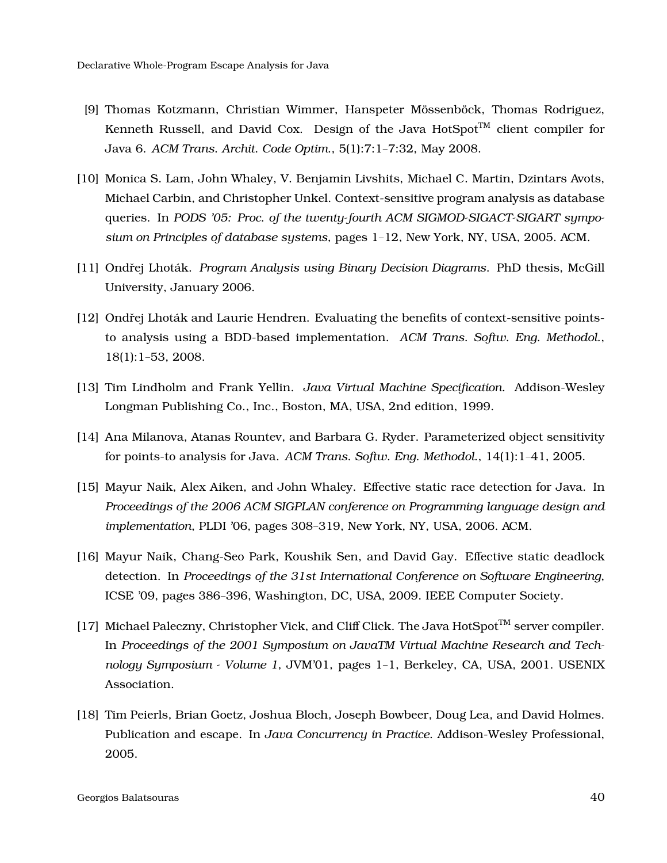- <span id="page-39-0"></span>[9] Thomas Kotzmann, Christian Wimmer, Hanspeter Mössenböck, Thomas Rodriguez, Kenneth Russell, and David Cox. Design of the Java HotSpot<sup>TM</sup> client compiler for Java 6. *ACM Trans. Archit. Code Optim.*, 5(1):7:1–7:32, May 2008.
- <span id="page-39-6"></span>[10] Monica S. Lam, John Whaley, V. Benjamin Livshits, Michael C. Martin, Dzintars Avots, Michael Carbin, and Christopher Unkel. Context-sensitive program analysis as database queries. In *PODS '05: Proc. of the twenty-fourth ACM SIGMOD-SIGACT-SIGART symposium on Principles of database systems*, pages 1–12, New York, NY, USA, 2005. ACM.
- <span id="page-39-5"></span><span id="page-39-4"></span>[11] Ondrej Lhoták. *Program Analysis using Binary Decision Diagrams*. PhD thesis, McGill University, January 2006.
- [12] Ondřej Lhoták and Laurie Hendren. Evaluating the benefits of context-sensitive pointsto analysis using a BDD-based implementation. *ACM Trans. Softw. Eng. Methodol.*, 18(1):1–53, 2008.
- <span id="page-39-7"></span><span id="page-39-1"></span>[13] Tim Lindholm and Frank Yellin. *Java Virtual Machine Specification*. Addison-Wesley Longman Publishing Co., Inc., Boston, MA, USA, 2nd edition, 1999.
- <span id="page-39-9"></span>[14] Ana Milanova, Atanas Rountev, and Barbara G. Ryder. Parameterized object sensitivity for points-to analysis for Java. *ACM Trans. Softw. Eng. Methodol.*, 14(1):1–41, 2005.
- [15] Mayur Naik, Alex Aiken, and John Whaley. Effective static race detection for Java. In *Proceedings of the 2006 ACM SIGPLAN conference on Programming language design and implementation*, PLDI '06, pages 308–319, New York, NY, USA, 2006. ACM.
- <span id="page-39-8"></span>[16] Mayur Naik, Chang-Seo Park, Koushik Sen, and David Gay. Effective static deadlock detection. In *Proceedings of the 31st International Conference on Software Engineering*, ICSE '09, pages 386–396, Washington, DC, USA, 2009. IEEE Computer Society.
- <span id="page-39-2"></span>[17] Michael Paleczny, Christopher Vick, and Cliff Click. The Java HotSpot<sup>TM</sup> server compiler. In *Proceedings of the 2001 Symposium on JavaTM Virtual Machine Research and Technology Symposium - Volume 1*, JVM'01, pages 1–1, Berkeley, CA, USA, 2001. USENIX Association.
- <span id="page-39-3"></span>[18] Tim Peierls, Brian Goetz, Joshua Bloch, Joseph Bowbeer, Doug Lea, and David Holmes. Publication and escape. In *Java Concurrency in Practice*. Addison-Wesley Professional, 2005.